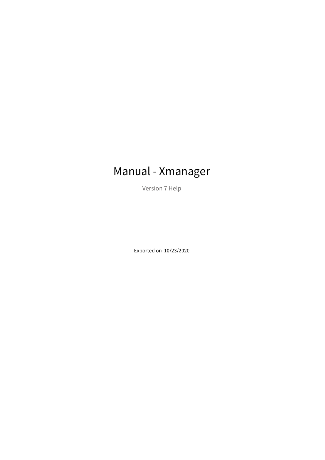# Manual - Xmanager

Version 7 Help

Exported on 10/23/2020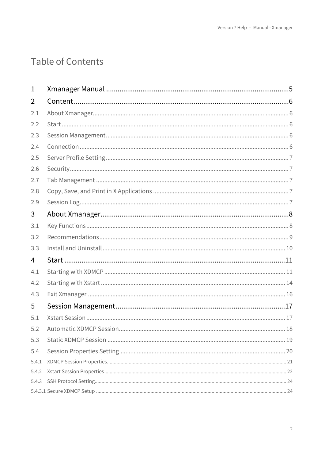# Table of Contents

| 1     |                               |
|-------|-------------------------------|
| 2     |                               |
| 2.1   |                               |
| 2.2   |                               |
| 2.3   |                               |
| 2.4   |                               |
| 2.5   |                               |
| 2.6   |                               |
| 2.7   |                               |
| 2.8   |                               |
| 2.9   |                               |
| 3     |                               |
| 3.1   |                               |
| 3.2   |                               |
| 3.3   |                               |
| 4     |                               |
| 4.1   |                               |
| 4.2   |                               |
| 4.3   |                               |
| 5     |                               |
| 5.1   |                               |
| 5.2   | Automatic XDMCP Session<br>18 |
| 5.3   |                               |
| 5.4   |                               |
| 5.4.1 |                               |
| 5.4.2 |                               |
| 5.4.3 |                               |
|       |                               |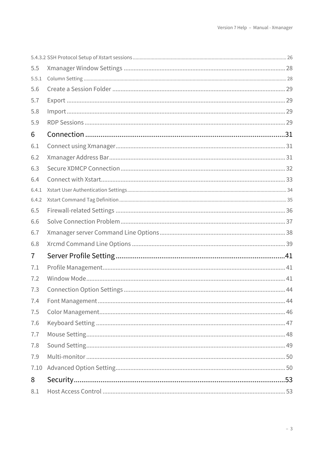| 5.5            |  |
|----------------|--|
| 5.5.1          |  |
| 5.6            |  |
| 5.7            |  |
| 5.8            |  |
| 5.9            |  |
| 6              |  |
| 6.1            |  |
| 6.2            |  |
| 6.3            |  |
| 6.4            |  |
| 6.4.1          |  |
| 6.4.2          |  |
| 6.5            |  |
| 6.6            |  |
| 6.7            |  |
| 6.8            |  |
| $\overline{I}$ |  |
| 7.1            |  |
| 7.2            |  |
| 7.3            |  |
| 7.4            |  |
| 7.5            |  |
| 7.6            |  |
| 7.7            |  |
| 7.8            |  |
| 7.9            |  |
| 7.10           |  |
| 8              |  |
| 8.1            |  |
|                |  |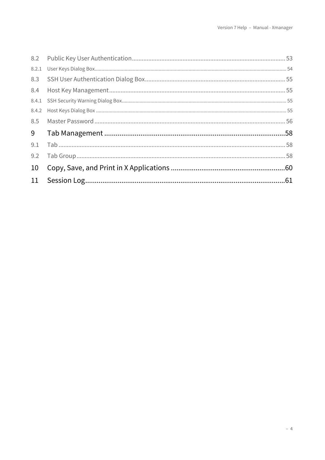| 8.5 |  |
|-----|--|
|     |  |
| 9.1 |  |
| 9.2 |  |
| 10  |  |
|     |  |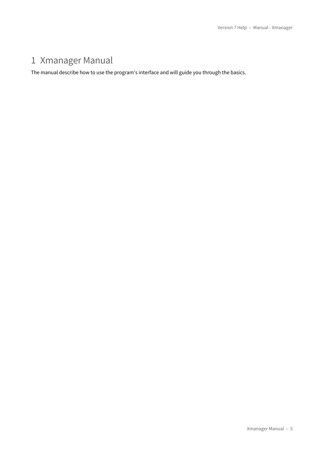# <span id="page-4-0"></span>1 Xmanager Manual

The manual describe how to use the program's interface and will guide you through the basics.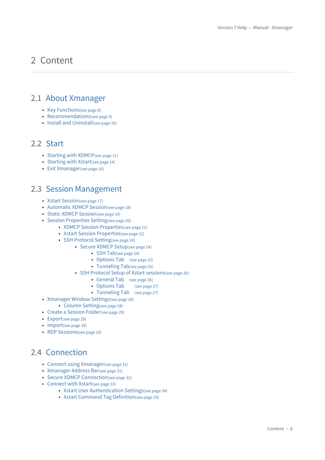# <span id="page-5-0"></span>2 Content

# <span id="page-5-1"></span>2.1 [About Xmanager](#page-7-0)

- [Key Functions](#page-7-1)[\(see page 8\)](#page-7-1)
- [Recommendations](#page-8-0)[\(see page 9\)](#page-8-0)
- [Install and Uninstall](#page-9-0)[\(see page 10\)](#page-9-0)

### <span id="page-5-2"></span>2.2 [Start](#page-10-0)

- [Starting with XDMCP](#page-10-1)[\(see page 11\)](#page-10-1)
- [Starting with Xstart](#page-13-0)[\(see page 14\)](#page-13-0)
- [Exit Xmanager](#page-15-0)[\(see page 16\)](#page-15-0)

## <span id="page-5-3"></span>2.3 [Session Management](#page-16-0)

- [Xstart Session](#page-16-1)[\(see page 17\)](#page-16-1)
- [Automatic XDMCP Session](#page-17-0)[\(see page 18\)](#page-17-0)
- [Static XDMCP Session](#page-18-0)[\(see page 19\)](#page-18-0)
- [Session Properties Setting](#page-19-0)[\(see page 20\)](#page-19-0)
	- [XDMCP Session Properties](#page-20-0)[\(see page 21\)](#page-20-0)
	- [Xstart Session Properties](#page-21-0)[\(see page 22\)](#page-21-0)
	- [SSH Protocol Setting](#page-23-0)[\(see page 24\)](#page-23-0)
		- [Secure XDMCP Setup](#page-23-1)[\(see page 24\)](#page-23-1)
			- [SSH Tab](#page-23-2)[\(see page 24\)](#page-23-2)
			- [Options Tab](#page-24-0) [\(see page 25\)](#page-24-0)
			- [Tunneling Tab](#page-24-1)[\(see page 25\)](#page-24-1)
		- [SSH Protocol Setup of Xstart sessions](#page-25-0)[\(see page 26\)](#page-25-0)
			- [General Tab](#page-25-1) [\(see page 26\)](#page-25-1)
			- [Options Tab](#page-26-0) [\(see page 27\)](#page-26-0)
			- [Tunneling Tab](#page-26-1) [\(see page 27\)](#page-26-1)
- [Xmanager Window Settings](#page-27-0)[\(see page 28\)](#page-27-0)
	- [Column Setting](#page-27-1)[\(see page 28\)](#page-27-1)
- [Create a Session Folder](#page-28-0)[\(see page 29\)](#page-28-0)
- [Export](#page-28-1)[\(see page 29\)](#page-28-1)
- [Import](#page-28-2)[\(see page 29\)](#page-28-2)
- [RDP Sessions](#page-28-3)[\(see page 29\)](#page-28-3)

## <span id="page-5-4"></span>2.4 [Connection](#page-30-0)

- [Connect using Xmanager](#page-30-1)[\(see page 31\)](#page-30-1)
- [Xmanager Address Bar](#page-30-2)[\(see page 31\)](#page-30-2)
- [Secure XDMCP Connection](#page-31-0)[\(see page 32\)](#page-31-0)
- [Connect with Xstart](#page-32-0)[\(see page 33\)](#page-32-0)
	- [Xstart User Authentication Settings](#page-33-0)[\(see page 34\)](#page-33-0)
	- [Xstart Command Tag Definition](#page-34-0)[\(see page 35\)](#page-34-0)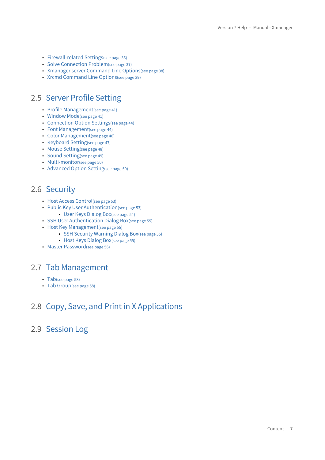- [Firewall-related Settings](#page-35-0)[\(see page 36\)](#page-35-0)
- [Solve Connection Problem](#page-36-0)[\(see page 37\)](#page-36-0)
- [Xmanager server Command Line Options](#page-37-0)[\(see page 38\)](#page-37-0)
- [Xrcmd Command Line Options](#page-38-0)[\(see page 39\)](#page-38-0)

# <span id="page-6-0"></span>2.5 [Server Profile Setting](#page-40-0)

- [Profile Management](#page-40-1)[\(see page 41\)](#page-40-1)
- [Window Mode](#page-40-2)[\(see page 41\)](#page-40-2)
- [Connection Option Settings](#page-43-0)[\(see page 44\)](#page-43-0)
- [Font Management](#page-43-1)[\(see page 44\)](#page-43-1)
- [Color Management](#page-45-0)[\(see page 46\)](#page-45-0)
- [Keyboard Setting](#page-46-0)[\(see page 47\)](#page-46-0)
- [Mouse Setting](#page-47-0)[\(see page 48\)](#page-47-0)
- [Sound Setting](#page-48-0)[\(see page 49\)](#page-48-0)
- [Multi-monitor](#page-49-0)[\(see page 50\)](#page-49-0)
- [Advanced Option Setting](#page-49-1)[\(see page 50\)](#page-49-1)

# <span id="page-6-1"></span>2.6 [Security](#page-52-0)

- [Host Access Control](#page-52-1)[\(see page 53\)](#page-52-1)
- [Public Key User Authentication](#page-52-2)[\(see page 53\)](#page-52-2)
	- [User Keys Dialog Box](#page-53-0)[\(see page 54\)](#page-53-0)
- [SSH User Authentication Dialog Box](#page-54-0)[\(see page 55\)](#page-54-0)
- [Host Key Management](#page-54-1)[\(see page 55\)](#page-54-1)
	- [SSH Security Warning Dialog Box](#page-54-2)[\(see page 55\)](#page-54-2)
	- [Host Keys Dialog Box](#page-54-3)[\(see page 55\)](#page-54-3)
- [Master Password](#page-55-0)[\(see page 56\)](#page-55-0)

### <span id="page-6-2"></span>2.7 [Tab Management](#page-57-0)

- [Tab](#page-57-1)[\(see page 58\)](#page-57-1)
- [Tab Group](#page-57-2)[\(see page 58\)](#page-57-2)

# <span id="page-6-3"></span>2.8 [Copy, Save, and Print in X Applications](#page-59-0)

# <span id="page-6-4"></span>2.9 [Session Log](#page-60-0)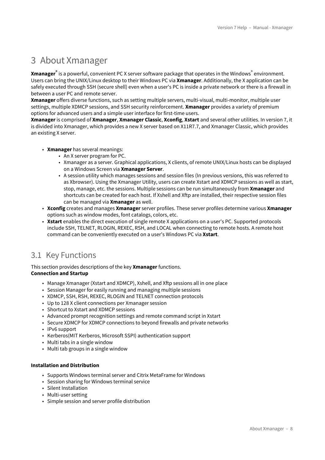# <span id="page-7-0"></span>3 About Xmanager

**Xmanager®** is a powerful, convenient PC X server software package that operates in the Windows® environment. Users can bring the UNIX/Linux desktop to their Windows PC via **Xmanager**. Additionally, the X application can be safely executed through SSH (secure shell) even when a user's PC is inside a private network or there is a firewall in between a user PC and remote server.

**Xmanager** offers diverse functions, such as setting multiple servers, multi-visual, multi-monitor, multiple user settings, multiple XDMCP sessions, and SSH security reinforcement. **Xmanager** provides a variety of premium options for advanced users and a simple user interface for first-time users.

**Xmanager** is comprised of **Xmanager**, **Xmanager Classic**, **Xconfig**, **Xstart** and several other utilities. In version 7, it is divided into Xmanager, which provides a new X server based on X11R7.7, and Xmanager Classic, which provides an existing X server.

- **Xmanager** has several meanings:
	- An X server program for PC.
	- Xmanager as a server. Graphical applications, X clients, of remote UNIX/Linux hosts can be displayed on a Windows Screen via **Xmanager Server**.
	- A session utility which manages sessions and session files (In previous versions, this was referred to as Xbrowser). Using the Xmanager Utility, users can create Xstart and XDMCP sessions as well as start, stop, manage, etc. the sessions. Multiple sessions can be run simultaneously from **Xmanager** and shortcuts can be created for each host. If Xshell and Xftp are installed, their respective session files can be managed via **Xmanager** as well.
- **Xconfig** creates and manages **Xmanager** server profiles. These server profiles determine various **Xmanager** options such as window modes, font catalogs, colors, etc.
- **Xstart** enables the direct execution of single remote X applications on a user's PC. Supported protocols include SSH, TELNET, RLOGIN, REXEC, RSH, and LOCAL when connecting to remote hosts. A remote host command can be conveniently executed on a user's Windows PC via **Xstart**.

# <span id="page-7-1"></span>3.1 Key Functions

This section provides descriptions of the key **Xmanager** functions. **Connection and Startup**

- Manage Xmanager (Xstart and XDMCP), Xshell, and Xftp sessions all in one place
- Session Manager for easily running and managing multiple sessions
- XDMCP, SSH, RSH, REXEC, RLOGIN and TELNET connection protocols
- Up to 128 X client connections per Xmanager session
- Shortcut to Xstart and XDMCP sessions
- Advanced prompt recognition settings and remote command script in Xstart
- Secure XDMCP for XDMCP connections to beyond firewalls and private networks
- IPv6 support
- Kerberos(MIT Kerberos, Microsoft SSPI) authentication support
- Multi tabs in a single window
- Multi tab groups in a single window

#### **Installation and Distribution**

- Supports Windows terminal server and Citrix MetaFrame for Windows
- Session sharing for Windows terminal service
- Silent Installation
- Multi-user setting
- Simple session and server profile distribution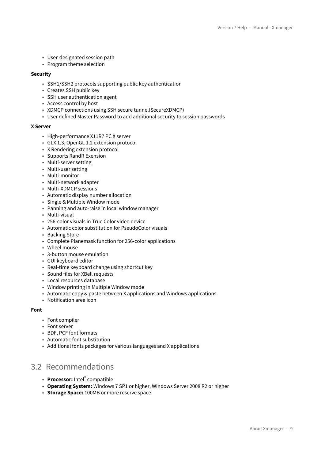- User-designated session path
- Program theme selection

#### **Security**

- SSH1/SSH2 protocols supporting public key authentication
- Creates SSH public key
- SSH user authentication agent
- Access control by host
- XDMCP connections using SSH secure tunnel(SecureXDMCP)
- User defined Master Password to add additional security to session passwords

#### **X Server**

- High-performance X11R7 PC X server
- GLX 1.3, OpenGL 1.2 extension protocol
- X Rendering extension protocol
- Supports RandR Exension
- Multi-server setting
- Multi-user setting
- Multi-monitor
- Multi-network adapter
- Multi-XDMCP sessions
- Automatic display number allocation
- Single & Multiple Window mode
- Panning and auto-raise in local window manager
- Multi-visual
- 256-color visuals in True Color video device
- Automatic color substitution for PseudoColor visuals
- Backing Store
- Complete Planemask function for 256-color applications
- Wheel mouse
- 3-button mouse emulation
- GUI keyboard editor
- Real-time keyboard change using shortcut key
- Sound files for XBell requests
- Local resources database
- Window printing in Multiple Window mode
- Automatic copy & paste between X applications and Windows applications
- Notification area icon

#### **Font**

- Font compiler
- Font server
- BDF, PCF font formats
- Automatic font substitution
- Additional fonts packages for various languages and X applications

## <span id="page-8-0"></span>3.2 Recommendations

- **Processor:** Intel® compatible
- **Operating System:** Windows 7 SP1 or higher, Windows Server 2008 R2 or higher
- **Storage Space:** 100MB or more reserve space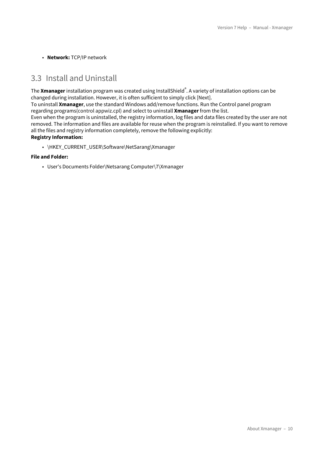• **Network:** TCP/IP network

### <span id="page-9-0"></span>3.3 Install and Uninstall

The **Xmanager** installation program was created using InstallShield<sup>®</sup>. A variety of installation options can be changed during installation. However, it is often sufficient to simply click [Next].

To uninstall **Xmanager**, use the standard Windows add/remove functions. Run the Control panel program regarding programs(control appwiz.cpl) and select to uninstall **Xmanager** from the list.

Even when the program is uninstalled, the registry information, log files and data files created by the user are not removed. The information and files are available for reuse when the program is reinstalled. If you want to remove all the files and registry information completely, remove the following explicitly:

#### **Registry Information:**

• \HKEY\_CURRENT\_USER\Software\NetSarang\Xmanager

#### **File and Folder:**

• User's Documents Folder\Netsarang Computer\7\Xmanager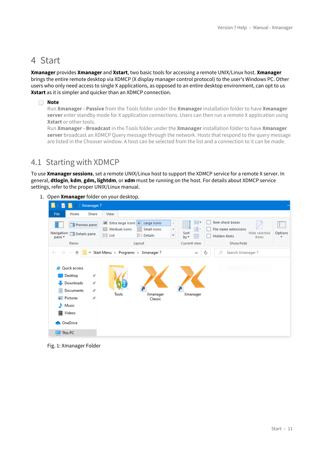# <span id="page-10-0"></span>4 Start

**Xmanager** provides **Xmanager** and **Xstart**, two basic tools for accessing a remote UNIX/Linux host. **Xmanager** brings the entire remote desktop via XDMCP (X display manager control protocol) to the user's Windows PC. Other users who only need access to single X applications, as opposed to an entire desktop environment, can opt to us **Xstart** as it is simpler and quicker than an XDMCP connection.

#### **Note**

Run **Xmanager - Passive** from the Tools folder under the **Xmanager** installation folder to have **Xmanager server** enter standby mode for X application connections. Users can then run a remote X application using **Xstart** or other tools.

Run **Xmanager - Broadcast** in the Tools folder under the **Xmanager** installation folder to have **Xmanager server** broadcast an XDMCP Query message through the network. Hosts that respond to the query message are listed in the Chooser window. A host can be selected from the list and a connection to it can be made.

## <span id="page-10-1"></span>4.1 Starting with XDMCP

To use **Xmanager sessions**, set a remote UNIX/Linux host to support the XDMCP service for a remote X server. In general, **dtlogin**, **kdm**, **gdm, lightdm**, or **xdm** must be running on the host. For details about XDMCP service settings, refer to the proper UNIX/Linux manual.

1. Open **Xmanager** folder on your desktop.



Fig. 1: Xmanager Folder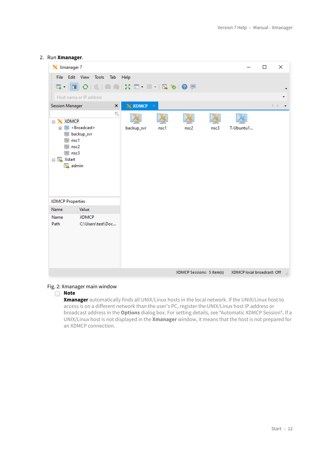#### 2. Run **Xmanager**.

| X Xmanager 7                                                                                                       |                                                      |                    |      |                           |      |                            | □ | ×    |
|--------------------------------------------------------------------------------------------------------------------|------------------------------------------------------|--------------------|------|---------------------------|------|----------------------------|---|------|
|                                                                                                                    | File Edit View Tools Tab                             | Help               |      |                           |      |                            |   |      |
|                                                                                                                    |                                                      |                    |      |                           |      |                            |   |      |
|                                                                                                                    | Host name or IP address                              |                    |      |                           |      |                            |   |      |
| <b>Session Manager</b>                                                                                             | $\times$                                             | $X$ XDMCP $\times$ |      |                           |      |                            |   | 4 下。 |
| □ X XDMCP<br>$+$<br>$\overline{\mathbf{x}}$<br>nsc1<br>x<br>$\mathbb{X}$ nsc2<br>$X$ nsc3<br>□ X Xstart<br>X admin | Q<br><b>X</b> <broadcast><br/>backup_svr</broadcast> | backup_svr         | nsc1 | nsc <sub>2</sub>          | nsc3 | T-Ubuntu1                  |   |      |
| <b>XDMCP Properties</b>                                                                                            |                                                      |                    |      |                           |      |                            |   |      |
| Name                                                                                                               | Value                                                |                    |      |                           |      |                            |   |      |
| Name<br>Path                                                                                                       | <b>XDMCP</b><br>C:\Users\test\Doc                    |                    |      |                           |      |                            |   |      |
|                                                                                                                    |                                                      |                    |      | XDMCP Sessions: 5 item(s) |      | XDMCP local broadcast: Off |   | ui.  |

#### Fig. 2: Xmanager main window

#### **Note**

**Xmanager** automatically finds all UNIX/Linux hosts in the local network. If the UNIX/Linux host to access is on a different network than the user's PC, register the UNIX/Linux host IP address or broadcast address in the **Options** dialog box. For setting details, see **'**Automatic XDMCP Session**'.** If a UNIX/Linux host is not displayed in the **Xmanager** window, it means that the host is not prepared for an XDMCP connection.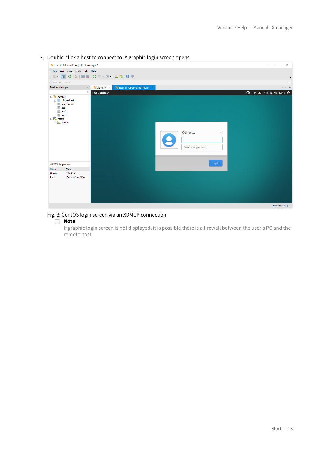|                                                                                  |                                                     |                         | boasie eilen a nost to connect to. A grupme togin sereen opens. |                                                          |                                    |                           |
|----------------------------------------------------------------------------------|-----------------------------------------------------|-------------------------|-----------------------------------------------------------------|----------------------------------------------------------|------------------------------------|---------------------------|
|                                                                                  | X nsc1 (T-Ubuntu1804) [0:0] - Xmanager 7            |                         |                                                                 |                                                          | $\Box$<br>$\overline{\phantom{m}}$ | $\times$                  |
|                                                                                  | File Edit View Tools Tab Help                       |                         |                                                                 |                                                          |                                    |                           |
|                                                                                  | E- 0 4 0 4 0 6 X 0 - 0 1 4 3 0 9                    |                         |                                                                 |                                                          |                                    |                           |
| xsession://nsc1                                                                  |                                                     |                         |                                                                 |                                                          |                                    |                           |
| <b>Session Manager</b>                                                           |                                                     | $\times$ <b>X</b> XDMCP | X nsc1 (T-Ubuntu1804) [0:0]                                     |                                                          |                                    | $\langle \cdot \rangle$ . |
|                                                                                  | $\mathbb{Q}$                                        | T-Ubuntu1804            |                                                                 |                                                          |                                    |                           |
| $\Box$ XDMCP<br>$X$ nsc1<br>$X$ nsc2<br>$X$ nsc3<br><b>E X</b> Xstart<br>X admin | <b>E M</b> <broadcast><br/>X backup_svr</broadcast> |                         |                                                                 | Other<br>$\overline{\phantom{a}}$<br>Enter your password |                                    |                           |
| <b>XDMCP Properties</b>                                                          |                                                     |                         |                                                                 | Log In                                                   |                                    |                           |
| Name                                                                             | Value                                               |                         |                                                                 |                                                          |                                    |                           |
| Name<br>Path                                                                     | <b>XDMCP</b><br>C:\Users\test\Doc                   |                         |                                                                 |                                                          |                                    |                           |
|                                                                                  |                                                     |                         |                                                                 |                                                          | Xmanager[0:0]                      |                           |

3. Double-click a host to connect to. A graphic login screen opens.

#### Fig. 3: CentOS login screen via an XDMCP connection

#### **Note**

If graphic login screen is not displayed, it is possible there is a firewall between the user's PC and the remote host.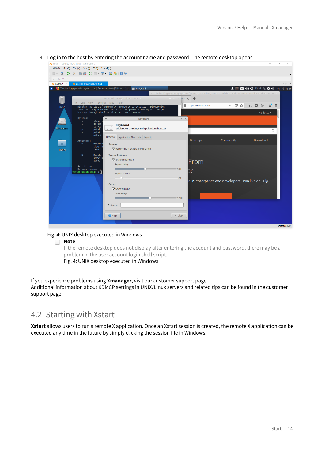| > nsc1 (T-Ubuntu1804) [0:0] - Xmanager 7                                                                                                | ö<br>×                                                                                                                              |
|-----------------------------------------------------------------------------------------------------------------------------------------|-------------------------------------------------------------------------------------------------------------------------------------|
| 파일(F) 편집(E) 보기(V) 도구(T) 탭(B) 도움말(H)                                                                                                     |                                                                                                                                     |
| E-1802 2003 2004 2005 2006 2007 2009                                                                                                    |                                                                                                                                     |
| xsession://nsc1                                                                                                                         |                                                                                                                                     |
| X nsc1 (T-Ubuntu1804) [0:0]<br>X XDMCP                                                                                                  | $\leftarrow$ $\rightarrow$                                                                                                          |
| The leading operating syste   F.   Terminal - test@T-Ubuntu18   Keyboard                                                                | ■ (1) ① 13:56 1 ● (1) 09 7월, 13:56<br>Δ                                                                                             |
|                                                                                                                                         | The leading operating system for PCs, IoT devices, servers and the cloud   Ubuntu - Mozilla Firefox $-$                             |
| Terminal - test@T-Ubuntu1804:~<br>- -<br>$+$<br>stem X                                                                                  |                                                                                                                                     |
| File Edit View Terminal Tabs Help<br>A https://ubuntu.com<br>Display the list of currently remembered directories. Directories<br>Trash | $\mathbf{d}' \equiv$<br>$\cdots$ $\odot$<br>☆<br>$\mathbb{I}$ $\mathbb{I}$ $\mathbb{I}$ $\mathbb{I}$ $\mathbb{I}$<br>$\circledcirc$ |
| find their way onto the list with the 'pushd' command; you can get<br>back up through the list with the 'popd' command.                 | Products $\sim$                                                                                                                     |
|                                                                                                                                         |                                                                                                                                     |
| Options:<br>$+ x$<br>Keyboard<br>clear :<br>$-C$                                                                                        |                                                                                                                                     |
| $-1$<br>do not<br><b>Keyboard</b><br>to your<br>m.                                                                                      |                                                                                                                                     |
| <b>File System</b><br>Edit keyboard settings and application shortcuts<br>print t<br>-p<br>print :<br>-v                                | $\alpha$                                                                                                                            |
| with it<br><b>Behavior</b> Application Shortcuts Layout                                                                                 |                                                                                                                                     |
| Developer<br>Arquments:<br>査<br>$+N$<br>Display<br>General                                                                              | Community<br>Download                                                                                                               |
| shown I<br>Restore num lock state on startup<br>zero.                                                                                   |                                                                                                                                     |
| Home                                                                                                                                    |                                                                                                                                     |
| <b>Typing Settings</b><br>$-N$<br>Display<br>shown  <br>Enable key repeat                                                               |                                                                                                                                     |
| zero.<br>From<br>Repeat delay:                                                                                                          |                                                                                                                                     |
| Exit Status:<br>500<br>Returns success unl                                                                                              |                                                                                                                                     |
| ŋе<br>test@T-Ubuntu1804:~\$<br>Repeat speed:                                                                                            |                                                                                                                                     |
| $= 20$                                                                                                                                  | r US enterprises and developers. Join live on July                                                                                  |
| <b>Cursor</b>                                                                                                                           |                                                                                                                                     |
| Show blinking                                                                                                                           |                                                                                                                                     |
| Blink delay:                                                                                                                            |                                                                                                                                     |
| $= 1200$                                                                                                                                |                                                                                                                                     |
| Test area:                                                                                                                              |                                                                                                                                     |
|                                                                                                                                         |                                                                                                                                     |
| × Close<br><sup>2</sup> Help                                                                                                            |                                                                                                                                     |
|                                                                                                                                         |                                                                                                                                     |
|                                                                                                                                         | Xmanager[0:0]                                                                                                                       |

4. Log in to the host by entering the account name and password. The remote desktop opens.

#### Fig. 4: UNIX desktop executed in Windows

#### **Note**

If the remote desktop does not display after entering the account and password, there may be a problem in the user account login shell script.

Fig. 4: UNIX desktop executed in Windows

#### If you experience problems using **Xmanager**, visit our customer support page Additional information about XDMCP settings in UNIX/Linux servers and related tips can be found in the customer support page.

### <span id="page-13-0"></span>4.2 Starting with Xstart

**Xstart** allows users to run a remote X application. Once an Xstart session is created, the remote X application can be executed any time in the future by simply clicking the session file in Windows.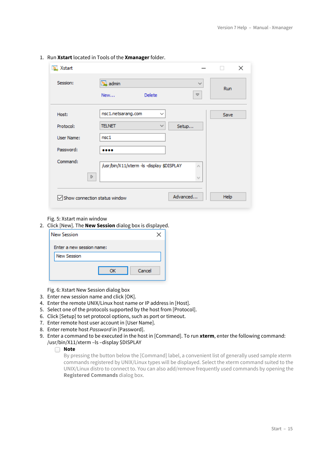| X Xstart                                       |                                                                                          |             | $\times$ |
|------------------------------------------------|------------------------------------------------------------------------------------------|-------------|----------|
| Session:                                       | Madmin<br>Delete<br>New                                                                  | $\sim$<br>Ó | Run      |
| Host:<br>Protocol:<br>User Name:<br>Password:  | nsc1.netsarang.com<br>$\checkmark$<br><b>TELNET</b><br>$\checkmark$<br>Setup<br>nsc1<br> |             | Save     |
| Command:<br>D<br>Show connection status window | /usr/bin/X11/xterm -ls -display \$DISPLAY<br>Advanced                                    | A<br>v      | Help     |

1. Run **Xstart** located in Tools of the **Xmanager** folder.

#### Fig. 5: Xstart main window

2. Click [New]. The **New Session** dialog box is displayed.

| <b>New Session</b>        |  |
|---------------------------|--|
| Enter a new session name: |  |
| <b>New Session</b>        |  |
| Cancel<br>ок              |  |
|                           |  |

Fig. 6: Xstart New Session dialog box

- 3. Enter new session name and click [OK].
- 4. Enter the remote UNIX/Linux host name or IP address in [Host].
- 5. Select one of the protocols supported by the host from [Protocol].
- 6. Click [Setup] to set protocol options, such as port or timeout.
- 7. Enter remote host user account in [User Name].
- 8. Enter remote host *Password* in [Password].
- 9. Enter a command to be executed in the host in [Command]. To run **xterm**, enter the following command: /usr/bin/X11/xterm –ls –display \$DISPLAY

#### **Note**

By pressing the button below the [Command] label, a convenient list of generally used sample xterm commands registered by UNIX/Linux types will be displayed. Select the xterm command suited to the UNIX/Linux distro to connect to. You can also add/remove frequently used commands by opening the **Registered Commands** dialog box.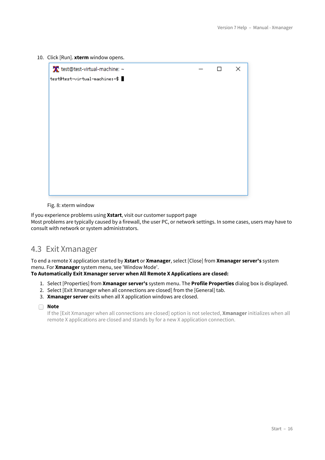10. Click [Run]. **xterm** window opens.

Fig. 8: xterm window

If you experience problems using **Xstart**, visit our customer support page Most problems are typically caused by a firewall, the user PC, or network settings. In some cases, users may have to consult with network or system administrators.

## <span id="page-15-0"></span>4.3 Exit Xmanager

To end a remote X application started by **Xstart** or **Xmanager**, select [Close] from **Xmanager server's** system menu. For **Xmanager** system menu, see 'Window Mode'.

**To Automatically Exit Xmanager server when All Remote X Applications are closed:**

- 1. Select [Properties] from **Xmanager server's** system menu. The **Profile Properties** dialog box is displayed.
- 2. Select [Exit Xmanager when all connections are closed] from the [General] tab.
- 3. **Xmanager server** exits when all X application windows are closed.

#### **Note**

If the [Exit Xmanager when all connections are closed] option is not selected, **Xmanager** initializes when all remote X applications are closed and stands by for a new X application connection.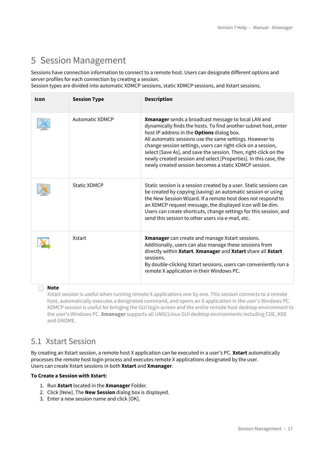# <span id="page-16-0"></span>5 Session Management

Sessions have connection information to connect to a remote host. Users can designate different options and server profiles for each connection by creating a session.

Session types are divided into automatic XDMCP sessions, static XDMCP sessions, and Xstart sessions.

| Icon | <b>Session Type</b>    | <b>Description</b>                                                                                                                                                                                                                                                                                                                                                                                                                                                                                              |
|------|------------------------|-----------------------------------------------------------------------------------------------------------------------------------------------------------------------------------------------------------------------------------------------------------------------------------------------------------------------------------------------------------------------------------------------------------------------------------------------------------------------------------------------------------------|
|      | <b>Automatic XDMCP</b> | <b>Xmanager</b> sends a broadcast message to local LAN and<br>dynamically finds the hosts. To find another subnet host, enter<br>host IP address in the <b>Options</b> dialog box.<br>All automatic sessions use the same settings. However to<br>change session settings, users can right-click on a session,<br>select [Save As], and save the session. Then, right-click on the<br>newly created session and select [Properties]. In this case, the<br>newly created session becomes a static XDMCP session. |
|      | <b>Static XDMCP</b>    | Static session is a session created by a user. Static sessions can<br>be created by copying (saving) an automatic session or using<br>the New Session Wizard. If a remote host does not respond to<br>an XDMCP request message, the displayed icon will be dim.<br>Users can create shortcuts, change settings for this session, and<br>send this session to other users via e-mail, etc.                                                                                                                       |
|      | <b>Xstart</b>          | Xmanager can create and manage Xstart sessions.<br>Additionally, users can also manage these sessions from<br>directly within Xstart. Xmanager and Xstart share all Xstart<br>sessions.<br>By double-clicking Xstart sessions, users can conveniently run a<br>remote X application in their Windows PC.                                                                                                                                                                                                        |

**Note**

Xstart session is useful when running remote X applications one by one. This session connects to a remote host, automatically executes a designated command, and opens an X application in the user's Windows PC. XDMCP session is useful for bringing the GUI login screen and the entire remote host desktop environment to the user's Windows PC. **Xmanager** supports all UNIX/Linux GUI desktop environments including CDE, KDE and GNOME.

### <span id="page-16-1"></span>5.1 Xstart Session

By creating an Xstart session, a remote host X application can be executed in a user's PC. **Xstart** automatically processes the remote host login process and executes remote X applications designated by the user. Users can create Xstart sessions in both **Xstart** and **Xmanager**.

#### **To Create a Session with Xstart:**

- 1. Run **Xstart** located in the **Xmanager** Folder.
- 2. Click [New]. The **New Session** dialog box is displayed.
- 3. Enter a new session name and click [OK].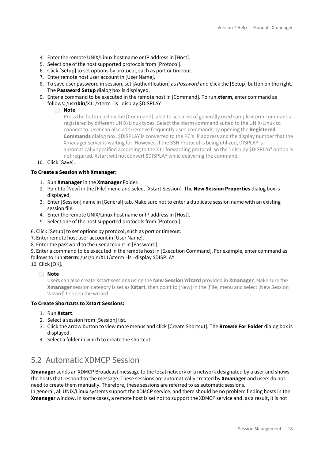- 4. Enter the remote UNIX/Linux host name or IP address in [Host].
- 5. Select one of the host supported protocols from [Protocol].
- 6. Click [Setup] to set options by protocol, such as port or timeout.
- 7. Enter remote host user account in [User Name].
- 8. To save user password in session, set [Authentication] as *Password* and click the [Setup] button on the right. The **Password Setup** dialog box is displayed.
- 9. Enter a command to be executed in the remote host in [Command]. To run **xterm**, enter command as follows: /us**r/bin**/X11/xterm –ls –display \$DISPLAY

Press the button below the [Command] label to see a list of generally used sample xterm commands registered by different UNIX/Linux types. Select the xterm command suited to the UNIX/Linux to connect to. User can also add/remove frequently used commands by opening the **Registered Commands** dialog box. \$DISPLAY is converted to the PC's IP address and the display number that the Xmanager server is waiting for. However, if the SSH Protocol is being utilized, DISPLAY is automatically specified according to the X11 forwarding protocol, so the '-display \$DISPLAY' option is not required. Xstart will not convert \$DISPLAY while delivering the command.

10. Click [Save].

#### **To Create a Session with Xmanager:**

- 1. Run **Xmanager** in the **Xmanager** Folder.
- 2. Point to [New] in the [File] menu and select [Xstart Session]. The **New Session Properties** dialog box is displayed.
- 3. Enter [Session] name in [General] tab. Make sure not to enter a duplicate session name with an existing session file.
- 4. Enter the remote UNIX/Linux host name or IP address in [Host].
- 5. Select one of the host supported protocols from [Protocol].

6. Click [Setup] to set options by protocol, such as port or timeout.

7. Enter remote host user account in [User Name].

8. Enter the password to the user account in [Password].

9. Enter a command to be executed in the remote host in [Execution Command]. For example, enter command as follows to run **xterm**: /usr/bin/X11/xterm –ls –display \$DISPLAY

10. Click [OK].

#### **Note**

Users can also create Xstart sessions using the **New Session Wizard** provided in **Xmanager**. Make sure the **Xmanager** session category is set as **Xstart**, then point to [New] in the [File] menu and select [New Session Wizard] to open the wizard.

#### **To Create Shortcuts to Xstart Sessions:**

- 1. Run **Xstart**.
- 2. Select a session from [Session] list.
- 3. Click the arrow button to view more menus and click [Create Shortcut]. The **Browse For Folder** dialog box is displayed.
- 4. Select a folder in which to create the shortcut.

## <span id="page-17-0"></span>5.2 Automatic XDMCP Session

**Xmanager** sends an XDMCP Broadcast message to the local network or a network designated by a user and shows the hosts that respond to the message. These sessions are automatically created by **Xmanager** and users do not need to create them manually. Therefore, these sessions are referred to as automatic sessions.

In general, all UNIX/Linux systems support the XDMCP service, and there should be no problem finding hosts in the **Xmanager** window. In some cases, a remote host is set not to support the XDMCP service and, as a result, it is not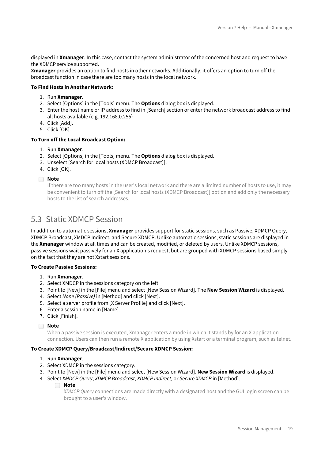displayed in **Xmanager**. In this case, contact the system administrator of the concerned host and request to have the XDMCP service supported.

**Xmanager** provides an option to find hosts in other networks. Additionally, it offers an option to turn off the broadcast function in case there are too many hosts in the local network.

#### **To Find Hosts in Another Network:**

- 1. Run **Xmanager**.
- 2. Select [Options] in the [Tools] menu. The **Options** dialog box is displayed.
- 3. Enter the host name or IP address to find in [Search] section or enter the network broadcast address to find all hosts available (e.g. 192.168.0.255)
- 4. Click [Add].
- 5. Click [OK].

#### **To Turn off the Local Broadcast Option:**

- 1. Run **Xmanager**.
- 2. Select [Options] in the [Tools] menu. The **Options** dialog box is displayed.
- 3. Unselect [Search for local hosts (XDMCP Broadcast)].
- 4. Click [OK].

**Note**

If there are too many hosts in the user's local network and there are a limited number of hosts to use, it may be convenient to turn off the [Search for local hosts (XDMCP Broadcast)] option and add only the necessary hosts to the list of search addresses.

### <span id="page-18-0"></span>5.3 Static XDMCP Session

In addition to automatic sessions, **Xmanager** provides support for static sessions, such as Passive, XDMCP Query, XDMCP Broadcast, XMDCP Indirect, and Secure XDMCP. Unlike automatic sessions, static sessions are displayed in the **Xmanager** window at all times and can be created, modified, or deleted by users. Unlike XDMCP sessions, passive sessions wait passively for an X application's request, but are grouped with XDMCP sessions based simply on the fact that they are not Xstart sessions.

#### **To Create Passive Sessions:**

- 1. Run **Xmanager**.
- 2. Select XMDCP in the sessions category on the left.
- 3. Point to [New] in the [File] menu and select [New Session Wizard]. The **New Session Wizard** is displayed.
- 4. Select *None (Passive)* in [Method] and click [Next].
- 5. Select a server profile from [X Server Profile] and click [Next].
- 6. Enter a session name in [Name].
- 7. Click [Finish].

#### **Note**

When a passive session is executed, Xmanager enters a mode in which it stands by for an X application connection. Users can then run a remote X application by using Xstart or a terminal program, such as telnet.

#### **To Create XDMCP Query/Broadcast/Indirect/Secure XDMCP Session:**

- 1. Run **Xmanager**.
- 2. Select XDMCP in the sessions category.
- 3. Point to [New] in the [File] menu and select [New Session Wizard]. **New Session Wizard** is displayed.
- 4. Select *XMDCP Query*, *XDMCP Broadcast*, *XDMCP Indirect,* or *Secure XDMCP* in [Method].
	- **Note**

*XDMCP Query* connections are made directly with a designated host and the GUI login screen can be brought to a user's window.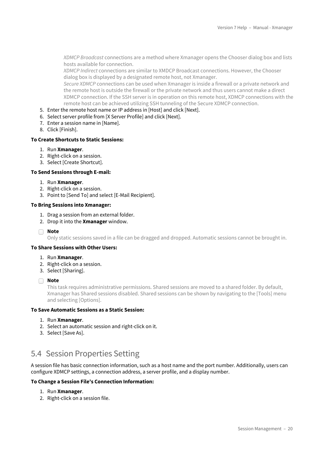*XDMCP Broadcast* connections are a method where Xmanager opens the Chooser dialog box and lists hosts available for connection.

*XDMCP Indirect* connections are similar to XMDCP Broadcast connections. However, the Chooser dialog box is displayed by a designated remote host, not Xmanager.

*Secure XDMCP* connections can be used when Xmanager is inside a firewall or a private network and the remote host is outside the firewall or the private network and thus users cannot make a direct XDMCP connection. If the SSH server is in operation on this remote host, XDMCP connections with the remote host can be achieved utilizing SSH tunneling of the Secure XDMCP connection.

- 5. Enter the remote host name or IP address in [Host] and click [Next].
- 6. Select server profile from [X Server Profile] and click [Next].
- 7. Enter a session name in [Name].
- 8. Click [Finish].

#### **To Create Shortcuts to Static Sessions:**

- 1. Run **Xmanager**.
- 2. Right-click on a session.
- 3. Select [Create Shortcut].

#### **To Send Sessions through E-mail:**

- 1. Run **Xmanager**.
- 2. Right-click on a session.
- 3. Point to [Send To] and select [E-Mail Recipient].

#### **To Bring Sessions into Xmanager:**

- 1. Drag a session from an external folder.
- 2. Drop it into the **Xmanager** window.

**Note**

Only static sessions saved in a file can be dragged and dropped. Automatic sessions cannot be brought in.

#### **To Share Sessions with Other Users:**

- 1. Run **Xmanager**.
- 2. Right-click on a session.
- 3. Select [Sharing].

**Note**

This task requires administrative permissions. Shared sessions are moved to a shared folder. By default, Xmanager has Shared sessions disabled. Shared sessions can be shown by navigating to the [Tools] menu and selecting [Options].

#### **To Save Automatic Sessions as a Static Session:**

- 1. Run **Xmanager**.
- 2. Select an automatic session and right-click on it.
- 3. Select [Save As].

### <span id="page-19-0"></span>5.4 Session Properties Setting

A session file has basic connection information, such as a host name and the port number. Additionally, users can configure XDMCP settings, a connection address, a server profile, and a display number.

#### **To Change a Session File's Connection Information:**

- 1. Run **Xmanager**.
- 2. Right-click on a session file.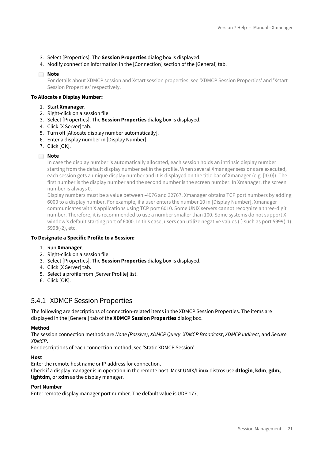- 3. Select [Properties]. The **Session Properties** dialog box is displayed.
- 4. Modify connection information in the [Connection] section of the [General] tab.

For details about XDMCP session and Xstart session properties, see 'XDMCP Session Properties' and 'Xstart Session Properties' respectively.

#### **To Allocate a Display Number:**

- 1. Start **Xmanager**.
- 2. Right-click on a session file.
- 3. Select [Properties]. The **Session Properties** dialog box is displayed.
- 4. Click [X Server] tab.
- 5. Turn off [Allocate display number automatically].
- 6. Enter a display number in [Display Number].
- 7. Click [OK].

#### **Note**

In case the display number is automatically allocated, each session holds an intrinsic display number starting from the default display number set in the profile. When several Xmanager sessions are executed, each session gets a unique display number and it is displayed on the title bar of Xmanager (e.g. [:0.0]). The first number is the display number and the second number is the screen number. In Xmanager, the screen number is always 0.

Display numbers must be a value between -4976 and 32767. Xmanager obtains TCP port numbers by adding 6000 to a display number. For example, if a user enters the number 10 in [Display Number], Xmanager communicates with X applications using TCP port 6010. Some UNIX servers cannot recognize a three-digit number. Therefore, it is recommended to use a number smaller than 100. Some systems do not support X window's default starting port of 6000. In this case, users can utilize negative values (-) such as port 5999(-1), 5998(-2), etc.

#### **To Designate a Specific Profile to a Session:**

- 1. Run **Xmanager**.
- 2. Right-click on a session file.
- 3. Select [Properties]. The **Session Properties** dialog box is displayed.
- 4. Click [X Server] tab.
- 5. Select a profile from [Server Profile] list.
- 6. Click [OK].

### <span id="page-20-0"></span>5.4.1 XDMCP Session Properties

The following are descriptions of connection-related items in the XDMCP Session Properties. The items are displayed in the [General] tab of the **XDMCP Session Properties** dialog box.

#### **Method**

The session connection methods are *None (Passive)*, *XDMCP Query*, *XDMCP Broadcast*, *XDMCP Indirect,* and *Secure XDMCP*.

For descriptions of each connection method, see 'Static XDMCP Session'.

#### **Host**

Enter the remote host name or IP address for connection.

Check if a display manager is in operation in the remote host. Most UNIX/Linux distros use **dtlogin**, **kdm**, **gdm, lightdm**, or **xdm** as the display manager.

#### **Port Number**

Enter remote display manager port number. The default value is UDP 177.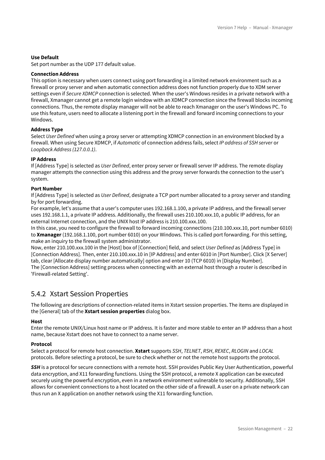#### **Use Default**

Set port number as the UDP 177 default value.

#### **Connection Address**

This option is necessary when users connect using port forwarding in a limited network environment such as a firewall or proxy server and when automatic connection address does not function properly due to XDM server settings even if *Secure XDMCP* connection is selected. When the user's Windows resides in a private network with a firewall, Xmanager cannot get a remote login window with an XDMCP connection since the firewall blocks incoming connections. Thus, the remote display manager will not be able to reach Xmanager on the user's Windows PC. To use this feature, users need to allocate a listening port in the firewall and forward incoming connections to your Windows.

#### **Address Type**

Select *User Defined* when using a proxy server or attempting XDMCP connection in an environment blocked by a firewall. When using Secure XDMCP, if *Automatic* of connection address fails, select *IP address of SSH server* or *Loopback Address (127.0.0.1)*.

#### **IP Address**

If [Address Type] is selected as *User Defined*, enter proxy server or firewall server IP address. The remote display manager attempts the connection using this address and the proxy server forwards the connection to the user's system.

#### **Port Number**

If [Address Type] is selected as *User Defined*, designate a TCP port number allocated to a proxy server and standing by for port forwarding.

For example, let's assume that a user's computer uses 192.168.1.100, a private IP address, and the firewall server uses 192.168.1.1, a private IP address. Additionally, the firewall uses 210.100.xxx.10, a public IP address, for an external Internet connection, and the UNIX host IP address is 210.100.xxx.100.

In this case, you need to configure the firewall to forward incoming connections (210.100.xxx.10, port number 6010) to **Xmanager** (192.168.1.100, port number 6010) on your Windows. This is called port forwarding. For this setting, make an inquiry to the firewall system administrator.

Now, enter 210.100.xxx.100 in the [Host] box of [Connection] field, and select *User Defined* as [Address Type] in [Connection Address]. Then, enter 210.100.xxx.10 in [IP Address] and enter 6010 in [Port Number]. Click [X Server] tab, clear [Allocate display number automatically] option and enter 10 (TCP 6010) in [Display Number].

The [Connection Address] setting process when connecting with an external host through a router is described in 'Firewall-related Setting'.

### <span id="page-21-0"></span>5.4.2 Xstart Session Properties

The following are descriptions of connection-related items in Xstart session properties. The items are displayed in the [General] tab of the **Xstart session properties** dialog box.

#### **Host**

Enter the remote UNIX/Linux host name or IP address. It is faster and more stable to enter an IP address than a host name, because Xstart does not have to connect to a name server.

#### **Protocol**

Select a protocol for remote host connection. **Xstart** supports *SSH*, *TELNET*, *RSH*, *REXEC*, *RLOGIN* and *LOCAL* protocols. Before selecting a protocol, be sure to check whether or not the remote host supports the protocol.

*SSH* is a protocol for secure connections with a remote host. SSH provides Public Key User Authentication, powerful data encryption, and X11 forwarding functions. Using the SSH protocol, a remote X application can be executed securely using the powerful encryption, even in a network environment vulnerable to security. Additionally, SSH allows for convenient connections to a host located on the other side of a firewall. A user on a private network can thus run an X application on another network using the X11 forwarding function.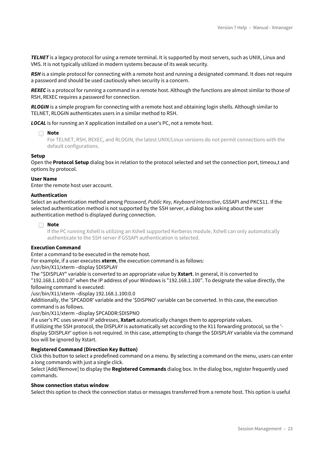*TELNET* is a legacy protocol for using a remote terminal. It is supported by most servers, such as UNIX, Linux and VMS. It is not typically utilized in modern systems because of its weak security.

*RSH* is a simple protocol for connecting with a remote host and running a designated command. It does not require a password and should be used cautiously when security is a concern.

*REXEC* is a protocol for running a command in a remote host. Although the functions are almost similar to those of RSH, REXEC requires a password for connection.

*RLOGIN* is a simple program for connecting with a remote host and obtaining login shells. Although similar to TELNET, RLOGIN authenticates users in a similar method to RSH.

*LOCAL* is for running an X application installed on a user's PC, not a remote host.

#### **Note**

For TELNET, RSH, REXEC, and RLOGIN, the latest UNIX/Linux versions do not permit connections with the default configurations.

#### **Setup**

Open the **Protocol Setup** dialog box in relation to the protocol selected and set the connection port, timeou,t and options by protocol.

#### **User Name**

Enter the remote host user account.

#### **Authentication**

Select an authentication method among *Password, Public Key, Keyboard Interactive*, GSSAPI and PKCS11. If the selected authentication method is not supported by the SSH server, a dialog box asking about the user authentication method is displayed during connection.

#### **Note**

If the PC running Xshell is utilizing an Xshell supported Kerberos module, Xshell can only automatically authenticate to the SSH server if GSSAPI authentication is selected.

#### **Execution Command**

Enter a command to be executed in the remote host.

For example, if a user executes **xterm**, the execution command is as follows:

/usr/bin/X11/xterm –display \$DISPLAY

The "\$DISPLAY" variable is converted to an appropriate value by **Xstart**. In general, it is converted to "192.168.1.100:0.0" when the IP address of your Windows is "192.168.1.100". To designate the value directly, the following command is executed:

/usr/bin/X11/xterm –display 192.168.1.100:0.0

Additionally, the '\$PCADDR' variable and the '\$DISPNO' variable can be converted. In this case, the execution command is as follows.

/usr/bin/X11/xterm –display \$PCADDR:\$DISPNO

If a user's PC uses several IP addresses, **Xstart** automatically changes them to appropriate values.

If utilizing the SSH protocol, the DISPLAY is automatically set according to the X11 forwarding protocol, so the ' display \$DISPLAY' option is not required. In this case, attempting to change the \$DISPLAY variable via the command box will be ignored by Xstart.

#### **Registered Command (Direction Key Button)**

Click this button to select a predefined command on a menu. By selecting a command on the menu, users can enter a long commands with just a single click.

Select [Add/Remove] to display the **Registered Commands** dialog box. In the dialog box, register frequently used commands.

#### **Show connection status window**

Select this option to check the connection status or messages transferred from a remote host. This option is useful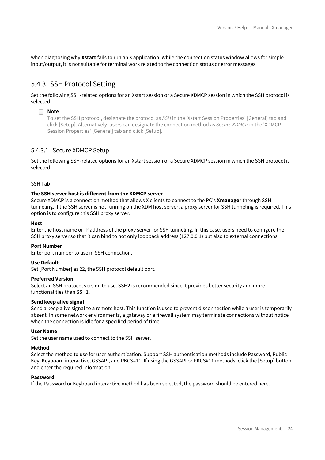when diagnosing why **Xstart** fails to run an X application. While the connection status window allows for simple input/output, it is not suitable for terminal work related to the connection status or error messages.

### <span id="page-23-0"></span>5.4.3 SSH Protocol Setting

Set the following SSH-related options for an Xstart session or a Secure XDMCP session in which the SSH protocol is selected.

#### **Note**

To set the SSH protocol, designate the protocol as *SSH* in the 'Xstart Session Properties' [General] tab and click [Setup]. Alternatively, users can designate the connection method as *Secure XDMCP* in the 'XDMCP Session Properties' [General] tab and click [Setup].

#### <span id="page-23-1"></span>5.4.3.1 Secure XDMCP Setup

Set the following SSH-related options for an Xstart session or a Secure XDMCP session in which the SSH protocol is selected.

#### <span id="page-23-2"></span>SSH Tab

#### **The SSH server host is different from the XDMCP server**

Secure XDMCP is a connection method that allows X clients to connect to the PC's **Xmanager** through SSH tunneling. If the SSH server is not running on the XDM host server, a proxy server for SSH tunneling is required. This option is to configure this SSH proxy server.

#### **Host**

Enter the host name or IP address of the proxy server for SSH tunneling. In this case, users need to configure the SSH proxy server so that it can bind to not only loopback address (127.0.0.1) but also to external connections.

#### **Port Number**

Enter port number to use in SSH connection.

#### **Use Default**

Set [Port Number] as 22, the SSH protocol default port.

#### **Preferred Version**

Select an SSH protocol version to use. SSH2 is recommended since it provides better security and more functionalities than SSH1.

#### **Send keep alive signal**

Send a keep alive signal to a remote host. This function is used to prevent disconnection while a user is temporarily absent. In some network environments, a gateway or a firewall system may terminate connections without notice when the connection is idle for a specified period of time.

#### **User Name**

Set the user name used to connect to the SSH server.

#### **Method**

Select the method to use for user authentication. Support SSH authentication methods include Password, Public Key, Keyboard interactive, GSSAPI, and PKCS#11. If using the GSSAPI or PKCS#11 methods, click the [Setup] button and enter the required information.

#### **Password**

If the Password or Keyboard interactive method has been selected, the password should be entered here.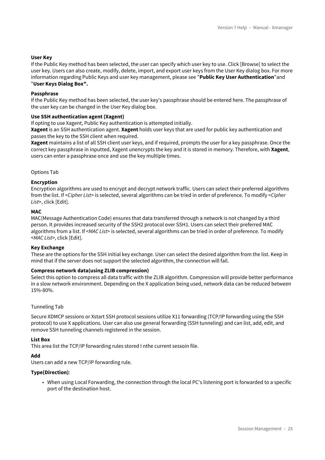#### **User Key**

If the Public Key method has been selected, the user can specify which user key to use. Click [Browse] to select the user key. Users can also create, modify, delete, import, and export user keys from the User Key dialog box. For more information regarding Public Keys and user key management, please see "**Public Key User Authentication**"and "**User Keys Dialog Box".**

#### **Passphrase**

If the Public Key method has been selected, the user key's passphrase should be entered here. The passphrase of the user key can be changed in the User Key dialog box.

#### **Use SSH authentication agent (Xagent)**

If opting to use Xagent, Public Key authentication is attempted initially.

**Xagent** is an SSH authentication agent. **Xagent** holds user keys that are used for public key authentication and passes the key to the SSH client when required.

**Xagent** maintains a list of all SSH client user keys, and if required, prompts the user for a key passphrase. Once the correct key passphrase in inputted, Xagent unencrypts the key and it is stored in memory. Therefore, with **Xagent**, users can enter a passphrase once and use the key multiple times.

#### <span id="page-24-0"></span>Options Tab

#### **Encryption**

Encryption algorithms are used to encrypt and decrypt network traffic. Users can select their preferred algorithms from the list. If <*Cipher List*> is selected, several algorithms can be tried in order of preference. To modify <*Cipher List*>, click [Edit].

#### **MAC**

MAC(Message Authentication Code) ensures that data transferred through a network is not changed by a third person. It provides increased security of the SSH2 protocol over SSH1. Users can select their preferred MAC algorithms from a list. If <*MAC List*> is selected, several algorithms can be tried in order of preference. To modify <*MAC List*>, click [Edit].

#### **Key Exchange**

These are the options for the SSH initial key exchange. User can select the desired algorithm from the list. Keep in mind that if the server does not support the selected algorithm, the connection will fail.

#### **Compress network data(using ZLIB compression)**

Select this option to compress all data traffic with the ZLIB algorithm. Compression will provide better performance in a slow network environment. Depending on the X application being used, network data can be reduced between 15%-80%.

#### <span id="page-24-1"></span>Tunneling Tab

Secure XDMCP sessions or Xstart SSH protocol sessions utilize X11 forwarding (TCP/IP forwarding using the SSH protocol) to use X applications. User can also use general forwarding (SSH tunneling) and can list, add, edit, and remove SSH tunneling channels registered in the session.

#### **List Box**

This area list the TCP/IP forwarding rules stored I nthe current sessoin file.

#### **Add**

Users can add a new TCP/IP forwarding rule.

#### **Type(Direction)**:

• When using Local Forwarding, the connection through the local PC's listening port is forwarded to a specific port of the destination host.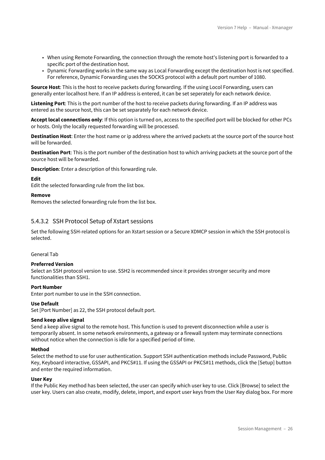- When using Remote Forwarding, the connection through the remote host's listening port is forwarded to a specific port of the destination host.
- Dynamic Forwarding works in the same way as Local Forwarding except the destination host is not specified. For reference, Dynamic Forwarding uses the SOCKS protocol with a default port number of 1080.

**Source Host**: This is the host to receive packets during forwarding. If the using Locol Forwarding, users can generally enter localhost here. If an IP address is entered, it can be set seperately for each network device.

**Listening Port**: This is the port number of the host to receive packets during forwarding. If an IP address was entered as the source host, this can be set separately for each network device.

**Accept local connections only**: If this option is turned on, access to the specified port will be blocked for other PCs or hosts. Only the locally requested forwarding will be processed.

**Destination Host**: Enter the host name or ip address where the arrived packets at the source port of the source host will be forwarded.

**Destination Port**: This is the port number of the destination host to which arriving packets at the source port of the source host will be forwarded.

**Description**: Enter a description of this forwarding rule.

#### **Edit**

Edit the selected forwarding rule from the list box.

#### **Remove**

Removes the selected forwarding rule from the list box.

#### <span id="page-25-0"></span>5.4.3.2 SSH Protocol Setup of Xstart sessions

Set the following SSH-related options for an Xstart session or a Secure XDMCP session in which the SSH protocol is selected.

#### <span id="page-25-1"></span>General Tab

#### **Preferred Version**

Select an SSH protocol version to use. SSH2 is recommended since it provides stronger security and more functionalities than SSH1.

#### **Port Number**

Enter port number to use in the SSH connection.

#### **Use Default**

Set [Port Number] as 22, the SSH protocol default port.

#### **Send keep alive signal**

Send a keep alive signal to the remote host. This function is used to prevent disconnection while a user is temporarily absent. In some network environments, a gateway or a firewall system may terminate connections without notice when the connection is idle for a specified period of time.

#### **Method**

Select the method to use for user authentication. Support SSH authentication methods include Password, Public Key, Keyboard interactive, GSSAPI, and PKCS#11. If using the GSSAPI or PKCS#11 methods, click the [Setup] button and enter the required information.

#### **User Key**

If the Public Key method has been selected, the user can specify which user key to use. Click [Browse] to select the user key. Users can also create, modify, delete, import, and export user keys from the User Key dialog box. For more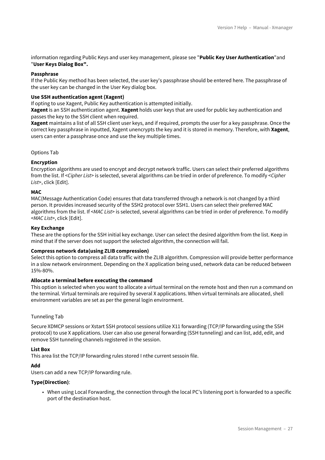information regarding Public Keys and user key management, please see "**Public Key User Authentication**"and "**User Keys Dialog Box".**

#### **Passphrase**

If the Public Key method has been selected, the user key's passphrase should be entered here. The passphrase of the user key can be changed in the User Key dialog box.

#### **Use SSH authentication agent (Xagent)**

If opting to use Xagent, Public Key authentication is attempted initially.

**Xagent** is an SSH authentication agent. **Xagent** holds user keys that are used for public key authentication and passes the key to the SSH client when required.

**Xagent** maintains a list of all SSH client user keys, and if required, prompts the user for a key passphrase. Once the correct key passphrase in inputted, Xagent unencrypts the key and it is stored in memory. Therefore, with **Xagent**, users can enter a passphrase once and use the key multiple times.

#### <span id="page-26-0"></span>Options Tab

#### **Encryption**

Encryption algorithms are used to encrypt and decrypt network traffic. Users can select their preferred algorithms from the list. If <*Cipher List*> is selected, several algorithms can be tried in order of preference. To modify <*Cipher List*>, click [Edit].

#### **MAC**

MAC(Message Authentication Code) ensures that data transferred through a network is not changed by a third person. It provides increased security of the SSH2 protocol over SSH1. Users can select their preferred MAC algorithms from the list. If <*MAC List*> is selected, several algorithms can be tried in order of preference. To modify <*MAC List*>, click [Edit].

#### **Key Exchange**

These are the options for the SSH initial key exchange. User can select the desired algorithm from the list. Keep in mind that if the server does not support the selected algorithm, the connection will fail.

#### **Compress network data(using ZLIB compression)**

Select this option to compress all data traffic with the ZLIB algorithm. Compression will provide better performance in a slow network environment. Depending on the X application being used, network data can be reduced between 15%-80%.

#### **Allocate a terminal before executing the command**

This option is selected when you want to allocate a virtual terminal on the remote host and then run a command on the terminal. Virtual terminals are required by several X applications. When virtual terminals are allocated, shell environment variables are set as per the general login envirorment.

#### <span id="page-26-1"></span>Tunneling Tab

Secure XDMCP sessions or Xstart SSH protocol sessions utilize X11 forwarding (TCP/IP forwarding using the SSH protocol) to use X applications. User can also use general forwarding (SSH tunneling) and can list, add, edit, and remove SSH tunneling channels registered in the session.

#### **List Box**

This area list the TCP/IP forwarding rules stored I nthe current sessoin file.

#### **Add**

Users can add a new TCP/IP forwarding rule.

#### **Type(Direction)**:

• When using Local Forwarding, the connection through the local PC's listening port is forwarded to a specific port of the destination host.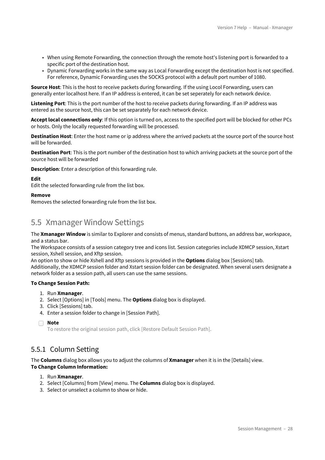- When using Remote Forwarding, the connection through the remote host's listening port is forwarded to a specific port of the destination host.
- Dynamic Forwarding works in the same way as Local Forwarding except the destination host is not specified. For reference, Dynamic Forwarding uses the SOCKS protocol with a default port number of 1080.

**Source Host**: This is the host to receive packets during forwarding. If the using Locol Forwarding, users can generally enter localhost here. If an IP address is entered, it can be set seperately for each network device.

**Listening Port**: This is the port number of the host to receive packets during forwarding. If an IP address was entered as the source host, this can be set separately for each network device.

**Accept local connections only**: If this option is turned on, access to the specified port will be blocked for other PCs or hosts. Only the locally requested forwarding will be processed.

**Destination Host**: Enter the host name or ip address where the arrived packets at the source port of the source host will be forwarded.

**Destination Port**: This is the port number of the destination host to which arriving packets at the source port of the source host will be forwarded

**Description**: Enter a description of this forwarding rule.

#### **Edit**

Edit the selected forwarding rule from the list box.

#### **Remove**

Removes the selected forwarding rule from the list box.

### <span id="page-27-0"></span>5.5 Xmanager Window Settings

The **Xmanager Window** is similar to Explorer and consists of menus, standard buttons, an address bar, workspace, and a status bar.

The Workspace consists of a session category tree and icons list. Session categories include XDMCP session, Xstart session, Xshell session, and Xftp session.

An option to show or hide Xshell and Xftp sessions is provided in the **Options** dialog box [Sessions] tab.

Additionally, the XDMCP session folder and Xstart session folder can be designated. When several users designate a network folder as a session path, all users can use the same sessions.

#### **To Change Session Path:**

- 1. Run **Xmanager**.
- 2. Select [Options] in [Tools] menu. The **Options** dialog box is displayed.
- 3. Click [Sessions] tab.
- 4. Enter a session folder to change in [Session Path].

To restore the original session path, click [Restore Default Session Path].

### <span id="page-27-1"></span>5.5.1 Column Setting

The **Columns** dialog box allows you to adjust the columns of **Xmanager** when it is in the [Details] view. **To Change Column Information:**

- 1. Run **Xmanager**.
- 2. Select [Columns] from [View] menu. The **Columns** dialog box is displayed.
- 3. Select or unselect a column to show or hide.

**Note**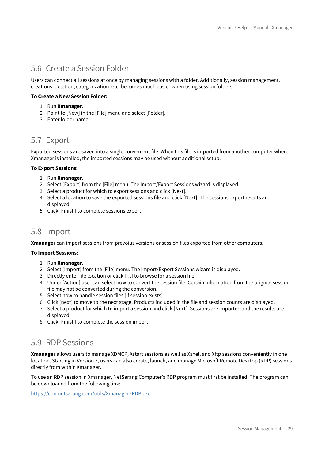## <span id="page-28-0"></span>5.6 Create a Session Folder

Users can connect all sessions at once by managing sessions with a folder. Additionally, session management, creations, deletion, categorization, etc. becomes much easier when using session folders.

#### **To Create a New Session Folder:**

- 1. Run **Xmanager**.
- 2. Point to [New] in the [File] menu and select [Folder].
- 3. Enter folder name.

# <span id="page-28-1"></span>5.7 Export

Exported sessions are saved into a single convenient file. When this file is imported from another computer where Xmanager is installed, the imported sessions may be used without additional setup.

#### **To Export Sessions:**

- 1. Run **Xmanager**.
- 2. Select [Export] from the [File] menu. The Import/Export Sessions wizard is displayed.
- 3. Select a product for which to export sessions and click [Next].
- 4. Select a location to save the exported sessions file and click [Next]. The sessions export results are displayed.
- 5. Click [Finish] to complete sessions export.

### <span id="page-28-2"></span>5.8 Import

**Xmanager** can import sessions from prevoius versions or session files exported from other computers.

#### **To Import Sessions:**

- 1. Run **Xmanager**.
- 2. Select [Import] from the [File] menu. The Import/Export Sessions wizard is displayed.
- 3. Directly enter file location or click […] to browse for a session file.
- 4. Under [Action] user can select how to convert the session file. Certain information from the original session file may not be converted during the conversion.
- 5. Select how to handle session files [If session exists].
- 6. Click [next] to move to the next stage. Products included in the file and session counts are displayed.
- 7. Select a product for which to import a session and click [Next]. Sessions are imported and the results are displayed.
- 8. Click [Finish] to complete the session import.

### <span id="page-28-3"></span>5.9 RDP Sessions

**Xmanager** allows users to manage XDMCP, Xstart sessions as well as Xshell and Xftp sessions conveniently in one location. Starting in Version 7, users can also create, launch, and manage Microsoft Remote Desktop (RDP) sessions directly from within Xmanager.

To use an RDP session in Xmanager, NetSarang Computer's RDP program must first be installed. The program can be downloaded from the following link:

<https://cdn.netsarang.com/utils/Xmanager7RDP.exe>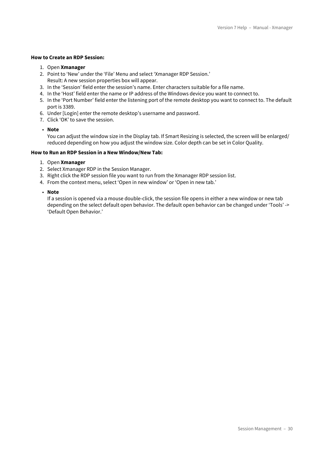#### **How to Create an RDP Session:**

- 1. Open **Xmanager**
- 2. Point to 'New' under the 'File' Menu and select 'Xmanager RDP Session.' Result: A new session properties box will appear.
- 3. In the 'Session' field enter the session's name. Enter characters suitable for a file name.
- 4. In the 'Host' field enter the name or IP address of the Windows device you want to connect to.
- 5. In the 'Port Number' field enter the listening port of the remote desktop you want to connect to. The default port is 3389.
- 6. Under [Login] enter the remote desktop's username and password.
- 7. Click 'OK' to save the session.
- **Note**

You can adjust the window size in the Display tab. If Smart Resizing is selected, the screen will be enlarged/ reduced depending on how you adjust the window size. Color depth can be set in Color Quality.

#### **How to Run an RDP Session in a New Window/New Tab:**

- 1. Open **Xmanager**
- 2. Select Xmanager RDP in the Session Manager.
- 3. Right click the RDP session file you want to run from the Xmanager RDP session list.
- 4. From the context menu, select 'Open in new window' or 'Open in new tab.'

• **Note**

If a session is opened via a mouse double-click, the session file opens in either a new window or new tab depending on the select default open behavior. The default open behavior can be changed under 'Tools' -> 'Default Open Behavior.'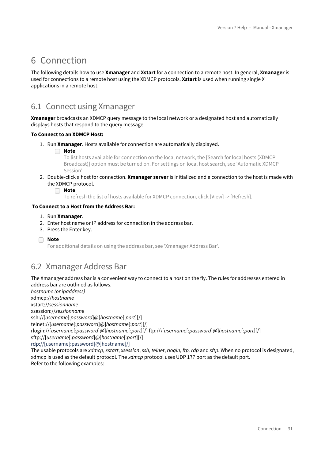# <span id="page-30-0"></span>6 Connection

The following details how to use **Xmanager** and **Xstart** for a connection to a remote host. In general, **Xmanager** is used for connections to a remote host using the XDMCP protocols. **Xstart** is used when running single X applications in a remote host.

# <span id="page-30-1"></span>6.1 Connect using Xmanager

**Xmanager** broadcasts an XDMCP query message to the local network or a designated host and automatically displays hosts that respond to the query message.

#### **To Connect to an XDMCP Host:**

- 1. Run **Xmanager**. Hosts available for connection are automatically displayed.
	- **Note**

To list hosts available for connection on the local network, the [Search for local hosts (XDMCP Broadcast)] option must be turned on. For settings on local host search, see 'Automatic XDMCP Session'.

2. Double-click a host for connection. **Xmanager server** is initialized and a connection to the host is made with the XDMCP protocol.

**Note**

To refresh the list of hosts available for XDMCP connection, click [View] -> [Refresh].

#### **To Connect to a Host from the Address Bar:**

- 1. Run **Xmanager**.
- 2. Enter host name or IP address for connection in the address bar.
- 3. Press the Enter key.
- **Note**

For additional details on using the address bar, see 'Xmanager Address Bar'.

## <span id="page-30-2"></span>6.2 Xmanager Address Bar

The Xmanager address bar is a convenient way to connect to a host on the fly. The rules for addresses entered in address bar are outlined as follows.

*hostname (or ipaddress)* xdmcp://*hostname* xstart://*sessionname* xsession://*sessionname* ssh://[*username*[:*password*]@]*hostname*[:*port*][/] telnet://[*username*[:*password*]@]*hostname*[:*port*][/] rlogin://[*username*[:*password*]@]*hostname*[:*port*][/] ftp://\[*username*[:*password*]@]*hostname*[:*port*][/] sftp://[*username*[:*password*]@]*hostname*[:*port*][/] rdp://[username[:password]@]hostname[/] The usable protocols are *xdmcp*, *xstart*, *xsession*, *ssh*, *telnet*, *rlogin*, *ftp, rdp* and *sftp*. When no protocol is designated, xdmcp is used as the default protocol. The *xdmcp* protocol uses UDP 177 port as the default port.

Refer to the following examples: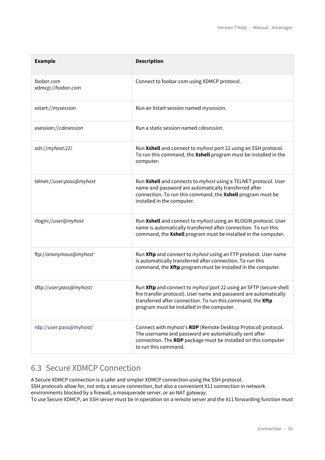| <b>Example</b>                   | <b>Description</b>                                                                                                                                                                                                                                   |
|----------------------------------|------------------------------------------------------------------------------------------------------------------------------------------------------------------------------------------------------------------------------------------------------|
| foobar.com<br>xdmcp://foobar.com | Connect to foobar.com using XDMCP protocol.                                                                                                                                                                                                          |
| xstart://mysession               | Run an Xstart session named mysession.                                                                                                                                                                                                               |
| xsession://cdesession            | Run a static session named cdesession.                                                                                                                                                                                                               |
| ssh://myhost:22/                 | Run Xshell and connect to myhost port 22 using an SSH protocol.<br>To run this command, the Xshell program must be installed in the<br>computer.                                                                                                     |
| telnet://user:pass@myhost        | Run Xshell and connects to myhost using a TELNET protocol. User<br>name and password are automatically transferred after<br>connection. To run this command, the Xshell program must be<br>installed in the computer.                                |
| rlogin://user@myhost             | Run Xshell and connect to myhost using an RLOGIN protocol. User<br>name is automatically transferred after connection. To run this<br>command, the Xshell program must be installed in the computer.                                                 |
| ftp://anonymous@myhost           | Run Xftp and connect to myhost using an FTP protocol. User name<br>is automatically transferred after connection. To run this<br>command, the Xftp program must be installed in the computer.                                                        |
| sftp://user:pass@myhost/         | Run Xftp and connect to myhost port 22 using an SFTP (secure shell<br>fire transfer protocol). User name and password are automatically<br>transferred after connection. To run this command, the Xftp<br>program must be installed in the computer. |
| rdp://user:pass@myhost/          | Connect with myhost's RDP (Remote Desktop Protocol) protocol.<br>The username and password are automatically sent after<br>connection. The RDP package must be installed on this computer<br>to run this command.                                    |

# <span id="page-31-0"></span>6.3 Secure XDMCP Connection

A Secure XDMCP connection is a safer and simpler XDMCP connection using the SSH protocol. SSH protocols allow for, not only a secure connection, but also a convenient X11 connection in network environments blocked by a firewall, a masquerade server, or an NAT gateway. To use Secure XDMCP, an SSH server must be in operation on a remote server and the X11 forwarding function must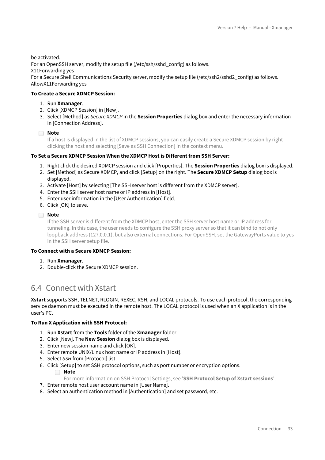be activated.

For an OpenSSH server, modify the setup file (/etc/ssh/sshd\_config) as follows.

X11Forwarding yes

For a Secure Shell Communications Security server, modify the setup file (/etc/ssh2/sshd2\_config) as follows. AllowX11Forwarding yes

#### **To Create a Secure XDMCP Session:**

- 1. Run **Xmanager**.
- 2. Click [XDMCP Session] in [New].
- 3. Select [Method] as *Secure XDMCP* in the **Session Properties** dialog box and enter the necessary information in [Connection Address].

**Note**

If a host is displayed in the list of XDMCP sessions, you can easily create a Secure XDMCP session by right clicking the host and selecting [Save as SSH Connection] in the context menu.

#### **To Set a Secure XDMCP Session When the XDMCP Host is Different from SSH Server:**

- 1. Right click the desired XDMCP session and click [Properties]. The **Session Properties** dialog box is displayed.
- 2. Set [Method] as Secure XDMCP, and click [Setup] on the right. The **Secure XDMCP Setup** dialog box is displayed.
- 3. Activate [Host] by selecting [The SSH server host is different from the XDMCP server].
- 4. Enter the SSH server host name or IP address in [Host].
- 5. Enter user information in the [User Authentication] field.
- 6. Click [OK] to save.

#### **Note**

If the SSH server is different from the XDMCP host, enter the SSH server host name or IP address for tunneling. In this case, the user needs to configure the SSH proxy server so that it can bind to not only loopback address (127.0.0.1), but also external connections. For OpenSSH, set the GatewayPorts value to yes in the SSH server setup file.

#### **To Connect with a Secure XDMCP Session:**

- 1. Run **Xmanager**.
- 2. Double-click the Secure XDMCP session.

### <span id="page-32-0"></span>6.4 Connect with Xstart

**Xstart** supports SSH, TELNET, RLOGIN, REXEC, RSH, and LOCAL protocols. To use each protocol, the corresponding service daemon must be executed in the remote host. The LOCAL protocol is used when an X application is in the user's PC.

#### **To Run X Application with SSH Protocol:**

- 1. Run **Xstart** from the **Tools** folder of the **Xmanager** folder.
- 2. Click [New]. The **New Session** dialog box is displayed.
- 3. Enter new session name and click [OK].
- 4. Enter remote UNIX/Linux host name or IP address in [Host].
- 5. Select *SSH* from [Protocol] list.
- 6. Click [Setup] to set SSH protocol options, such as port number or encryption options.

#### **Note**

For more information on SSH Protocol Settings, see '**SSH Protocol Setup of Xstart sessions**'.

- 7. Enter remote host user account name in [User Name].
- 8. Select an authentication method in [Authentication] and set password, etc.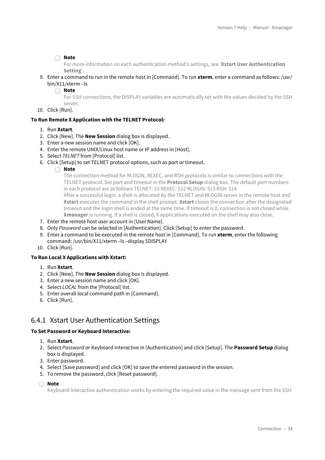For more information on each authentication method's settings, see '**Xstart User Authentication Setting**'**.**

- 9. Enter a command to run in the remote host in [Command]. To run **xterm**, enter a command as follows: /usr/ bin/X11/xterm –ls
	- **Note**

For SSH connections, the DISPLAY variables are automatically set with the values decided by the SSH server.

10. Click [Run].

#### **To Run Remote X Application with the TELNET Protocol:**

#### 1. Run **Xstart**.

- 2. Click [New]. The **New Session** dialog box is displayed.
- 3. Enter a new session name and click [OK].
- 4. Enter the remote UNIX/Linux host name or IP address in [Host].
- 5. Select *TELNET* from [Protocol] list.
- 6. Click [Setup] to set TELNET protocol options, such as port or timeout.
	- **Note**

The connection method for RLOGIN, REXEC, and RSH protocols is similar to connections with the TELNET protocol. Set port and timeout in the **Protocol Setup** dialog box. The default port numbers in each protocol are as follows TELNET: 23 REXEC: 512 RLOGIN: 513 RSH: 514

After a successful login, a shell is allocated by the TELNET and RLOGIN server in the remote host and **Xstart** executes the command in the shell prompt. **Xstart** closes the connection after the designated timeout and the login shell is ended at the same time. If timeout is 0, connection is not closed while **Xmanager** is running. If a shell is closed, X applications executed on the shell may also close.

- 7. Enter the remote host user account in [User Name].
- 8. Only *Password* can be selected in [Authentication]. Click [Setup] to enter the password.
- 9. Enter a command to be executed in the remote host in [Command]. To run **xterm**, enter the following command: /usr/bin/X11/xterm –ls –display \$DISPLAY
- 10. Click [Run].

#### **To Run Local X Applications with Xstart:**

- 1. Run **Xstart**.
- 2. Click [New]. The **New Session** dialog box is displayed.
- 3. Enter a new session name and click [OK].
- 4. Select *LOCAL* from the [Protocol] list.
- 5. Enter overall local command path in [Command].
- 6. Click [Run].

### <span id="page-33-0"></span>6.4.1 Xstart User Authentication Settings

#### **To Set Password or Keyboard Interactive:**

- 1. Run **Xstart**.
- 2. Select *Password* or Keyboard Interactive in [Authentication] and click [Setup]. The **Password Setup** dialog box is displayed.
- 3. Enter password.
- 4. Select [Save password] and click [OK] to save the entered password in the session.
- 5. To remove the password, click [Reset password].
- **Note**

Keyboard Interactive authentication works by entering the required value in the message sent from the SSH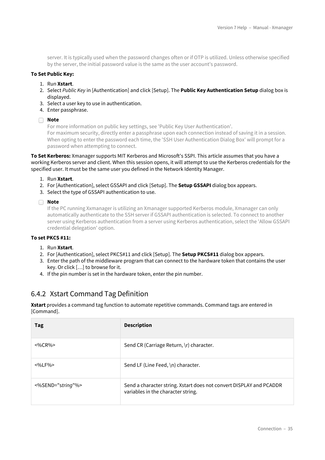server. It is typically used when the password changes often or if OTP is utilized. Unless otherwise specified by the server, the initial password value is the same as the user account's password.

#### **To Set Public Key:**

- 1. Run **Xstart**.
- 2. Select *Public Key* in [Authentication] and click [Setup]. The **Public Key Authentication Setup** dialog box is displayed.
- 3. Select a user key to use in authentication.
- 4. Enter passphrase.

#### **Note**

For more information on public key settings, see 'Public Key User Authentication'. For maximum security, directly enter a passphrase upon each connection instead of saving it in a session. When opting to enter the password each time, the 'SSH User Authentication Dialog Box' will prompt for a password when attempting to connect.

**To Set Kerberos:** Xmanager supports MIT Kerberos and Microsoft's SSPI. This article assumes that you have a working Kerberos server and client. When this session opens, it will attempt to use the Kerberos credentials for the specified user. It must be the same user you defined in the Network Identity Manager.

- 1. Run **Xstart**.
- 2. For [Authentication], select GSSAPI and click [Setup]. The **Setup GSSAPI** dialog box appears.
- 3. Select the type of GSSAPI authentication to use.

**Note**

If the PC running Xxmanager is utilizing an Xmanager supported Kerberos module, Xmanager can only automatically authenticate to the SSH server if GSSAPI authentication is selected. To connect to another server using Kerberos authentication from a server using Kerberos authentication, select the 'Allow GSSAPI credential delegation' option.

#### **To set PKCS #11:**

- 1. Run **Xstart**.
- 2. For [Authentication], select PKCS#11 and click [Setup]. The **Setup PKCS#11** dialog box appears.
- 3. Enter the path of the middleware program that can connect to the hardware token that contains the user key. Or click […] to browse for it.
- 4. If the pin number is set in the hardware token, enter the pin number.

### <span id="page-34-0"></span>6.4.2 Xstart Command Tag Definition

**Xstart** provides a command tag function to automate repetitive commands. Command tags are entered in [Command].

| Tag                  | <b>Description</b>                                                                                        |
|----------------------|-----------------------------------------------------------------------------------------------------------|
| $<\frac{9}{6}$ CR%>  | Send CR (Carriage Return, \r) character.                                                                  |
| $<\frac{9}{6}$ I F%> | Send LF (Line Feed, \n) character.                                                                        |
| <%SEND="string"%>    | Send a character string. Xstart does not convert DISPLAY and PCADDR<br>variables in the character string. |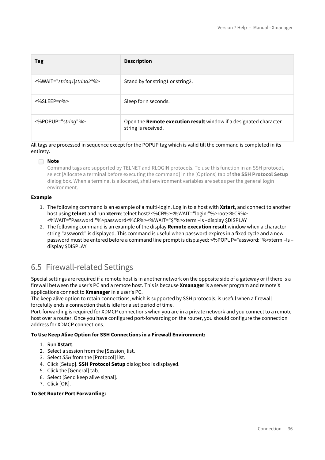| Tag                        | <b>Description</b>                                                                       |
|----------------------------|------------------------------------------------------------------------------------------|
| <%WAIT="string1 string2"%> | Stand by for string1 or string2.                                                         |
| $<\!\%$ SLEEP= $n\%$       | Sleep for n seconds.                                                                     |
| <%POPUP="string"%>         | Open the Remote execution result window if a designated character<br>string is received. |

All tags are processed in sequence except for the POPUP tag which is valid till the command is completed in its entirety.

#### **Note**

Command tags are supported by TELNET and RLOGIN protocols. To use this function in an SSH protocol, select [Allocate a terminal before executing the command] in the [Options] tab of **the SSH Protocol Setup** dialog box. When a terminal is allocated, shell environment variables are set as per the general login environment.

#### **Example**

- 1. The following command is an example of a multi-login. Log in to a host with **Xstart**, and connect to another host using **telnet** and run **xterm**: telnet host2<%CR%><%WAIT="login:"%>root<%CR%> <%WAIT="Password:"%>password<%CR%><%WAIT="\$"%>xterm –ls –display \$DISPLAY
- 2. The following command is an example of the display **Remote execution result** window when a character string "assword:" is displayed. This command is useful when password expires in a fixed cycle and a new password must be entered before a command line prompt is displayed: <%POPUP="assword:"%>xterm –ls – display \$DISPLAY

## <span id="page-35-0"></span>6.5 Firewall-related Settings

Special settings are required if a remote host is in another network on the opposite side of a gateway or if there is a firewall between the user's PC and a remote host. This is because **Xmanager** is a server program and remote X applications connect to **Xmanager** in a user's PC.

The keep alive option to retain connections, which is supported by SSH protocols, is useful when a firewall forcefully ends a connection that is idle for a set period of time.

Port-forwarding is required for XDMCP connections when you are in a private network and you connect to a remote host over a router. Once you have configured port-forwarding on the router, you should configure the connection address for XDMCP connections.

#### **To Use Keep Alive Option for SSH Connections in a Firewall Environment:**

- 1. Run **Xstart**.
- 2. Select a session from the [Session] list.
- 3. Select *SSH* from the [Protocol] list.
- 4. Click [Setup]. **SSH Protocol Setup** dialog box is displayed.
- 5. Click the [General] tab.
- 6. Select [Send keep alive signal].
- 7. Click [OK].

#### **To Set Router Port Forwarding:**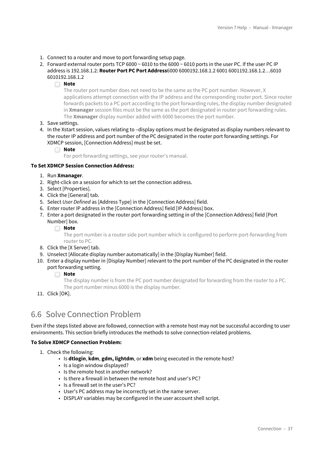- 1. Connect to a router and move to port forwarding setup page.
- 2. Forward external router ports TCP 6000 ~ 6010 to the 6000 ~ 6010 ports in the user PC. If the user PC IP address is 192.168.1.2: **Router Port PC Port Address**6000 6000192.168.1.2 6001 6001192.168.1.2…6010 6010192.168.1.2
	- **Note**

The router port number does not need to be the same as the PC port number. However, X applications attempt connection with the IP address and the corresponding router port. Since router forwards packets to a PC port according to the port forwarding rules, the display number designated in **Xmanager** session files must be the same as the port designated in router port forwarding rules. The **Xmanager** display number added with 6000 becomes the port number.

- 3. Save settings.
- 4. In the Xstart session, values relating to –display options must be designated as display numbers relevant to the router IP address and port number of the PC designated in the router port forwarding settings. For XDMCP session, [Connection Address] must be set.
	- **Note**

For port forwarding settings, see your router's manual.

#### **To Set XDMCP Session Connection Address:**

- 1. Run **Xmanager**.
- 2. Right-click on a session for which to set the connection address.
- 3. Select [Properties].
- 4. Click the [General] tab.
- 5. Select *User Defined* as [Address Type] in the [Connection Address] field.
- 6. Enter router IP address in the [Connection Address] field [IP Address] box.
- 7. Enter a port designated in the router port forwarding setting in of the [Connection Address] field [Port Number] box.
	- **Note**

The port number is a router side port number which is configured to perform port-forwarding from router to PC.

- 8. Click the [X Server] tab.
- 9. Unselect [Allocate display number automatically] in the [Display Number] field.
- 10. Enter a display number in [Display Number] relevant to the port number of the PC designated in the router port forwarding setting.

**Note**

The display number is from the PC port number designated for forwarding from the router to a PC. The port number minus 6000 is the display number.

11. Click [OK].

### <span id="page-36-0"></span>6.6 Solve Connection Problem

Even if the steps listed above are followed, connection with a remote host may not be successful according to user environments. This section briefly introduces the methods to solve connection-related problems.

#### **To Solve XDMCP Connection Problem:**

- 1. Check the following:
	- Is **dtlogin**, **kdm**, **gdm, lightdm**, or **xdm** being executed in the remote host?
	- Is a login window displayed?
	- Is the remote host in another network?
	- Is there a firewall in between the remote host and user's PC?
	- Is a firewall set in the user's PC?
	- User's PC address may be incorrectly set in the name server.
	- DISPLAY variables may be configured in the user account shell script.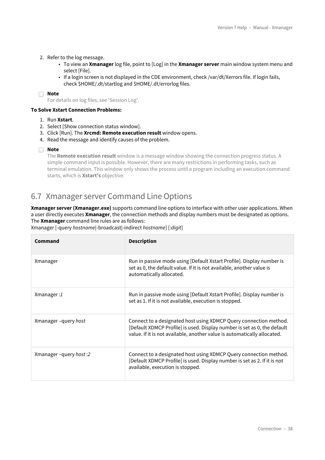- 2. Refer to the log message.
	- To view an **Xmanager** log file, point to [Log] in the **Xmanager server** main window system menu and select [File].
	- If a login screen is not displayed in the CDE environment, check /var/dt/Xerrors file. If login fails, check \$HOME/.dt/startlog and \$HOME/.dt/errorlog files.

For details on log files, see 'Session Log'.

#### **To Solve Xstart Connection Problems:**

- 1. Run **Xstart**.
- 2. Select [Show connection status window].
- 3. Click [Run]. The **Xrcmd: Remote execution result** window opens.
- 4. Read the message and identify causes of the problem.
- **Note**

The **Remote execution result** window is a message window showing the connection progress status. A simple command input is possible. However, there are many restrictions in performing tasks, such as terminal emulation. This window only shows the process until a program including an execution command starts, which is **Xstart's** objective.

### <span id="page-37-0"></span>6.7 Xmanager server Command Line Options

**Xmanager server (Xmanager.exe)** supports command line options to interface with other user applications. When a user directly executes **Xmanager**, the connection methods and display numbers must be designated as options. The **Xmanager** command line rules are as follows:

|  | Xmanager [-query hostname -broadcast -indirect hostname] [:digit] |  |
|--|-------------------------------------------------------------------|--|

| Command               | <b>Description</b>                                                                                                                                                                                                        |
|-----------------------|---------------------------------------------------------------------------------------------------------------------------------------------------------------------------------------------------------------------------|
| Xmanager              | Run in passive mode using [Default Xstart Profile]. Display number is<br>set as 0, the default value. If it is not available, another value is<br>automatically allocated.                                                |
| Xmanager:1            | Run in passive mode using [Default Xstart Profile]. Display number is<br>set as 1. If it is not available, execution is stopped.                                                                                          |
| Xmanager-query host   | Connect to a designated host using XDMCP Query connection method.<br>[Default XDMCP Profile] is used. Display number is set as 0, the default<br>value. If it is not available, another value is automatically allocated. |
| Xmanager-query host:2 | Connect to a designated host using XDMCP Query connection method.<br>[Default XDMCP Profile] is used. Display number is set as 2. If it is not<br>available, execution is stopped.                                        |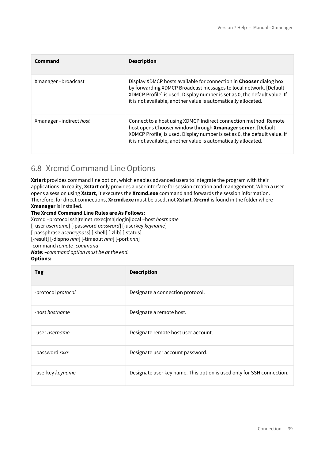| Command                | <b>Description</b>                                                                                                                                                                                                                                                                             |
|------------------------|------------------------------------------------------------------------------------------------------------------------------------------------------------------------------------------------------------------------------------------------------------------------------------------------|
| Xmanager-broadcast     | Display XDMCP hosts available for connection in <b>Chooser</b> dialog box<br>by forwarding XDMCP Broadcast messages to local network. [Default]<br>XDMCP Profile] is used. Display number is set as 0, the default value. If<br>it is not available, another value is automatically allocated. |
| Xmanager-indirect host | Connect to a host using XDMCP Indirect connection method. Remote<br>host opens Chooser window through Xmanager server. [Default<br>XDMCP Profile] is used. Display number is set as 0, the default value. If<br>it is not available, another value is automatically allocated.                 |

# <span id="page-38-0"></span>6.8 Xrcmd Command Line Options

**Xstart** provides command line option, which enables advanced users to integrate the program with their applications. In reality, **Xstart** only provides a user interface for session creation and management. When a user opens a session using **Xstart**, it executes the **Xrcmd.exe** command and forwards the session information. Therefore, for direct connections, **Xrcmd.exe** must be used, not **Xstart**. **Xrcmd** is found in the folder where **Xmanager** is installed.

#### **The Xrcmd Command Line Rules are As Follows:**

Xrcmd –protocol ssh|telnet|rexec|rsh|rlogin|local –host *hostname* [–user *username*] [-password *password*] [-userkey *keyname*] [-passphrase *userkeypass*] [-shell] [-zlib] [-status] [-result] [-dispno *nnn*] [-timeout *nnn*] [-port *nnn*] -command *remote\_command Note: –command option must be at the end.*

#### **Options:**

| Tag                   | <b>Description</b>                                                    |
|-----------------------|-----------------------------------------------------------------------|
| -protocol protocol    | Designate a connection protocol.                                      |
| -host hostname        | Designate a remote host.                                              |
| -user <i>username</i> | Designate remote host user account.                                   |
| -password xxxx        | Designate user account password.                                      |
| -userkey keyname      | Designate user key name. This option is used only for SSH connection. |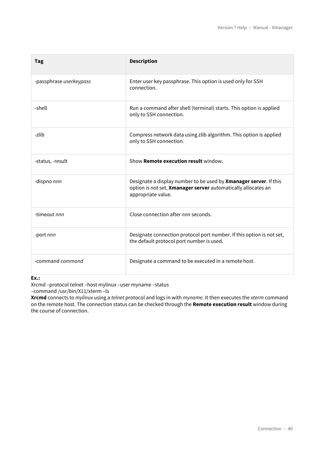| Tag                     | <b>Description</b>                                                                                                                                       |
|-------------------------|----------------------------------------------------------------------------------------------------------------------------------------------------------|
| -passphrase userkeypass | Enter user key passphrase. This option is used only for SSH<br>connection.                                                                               |
| -shell                  | Run a command after shell (terminal) starts. This option is applied<br>only to SSH connection.                                                           |
| -zlib                   | Compress network data using zlib algorithm. This option is applied<br>only to SSH connection.                                                            |
| -status, -result        | Show Remote execution result window.                                                                                                                     |
| -dispno nnn             | Designate a display number to be used by Xmanager server. If this<br>option is not set, Xmanager server automatically allocates an<br>appropriate value. |
| -timeout nnn            | Close connection after nnn seconds.                                                                                                                      |
| -port nnn               | Designate connection protocol port number. If this option is not set,<br>the default protocol port number is used.                                       |
| -command command        | Designate a command to be executed in a remote host.                                                                                                     |

**Ex.:**

Xrcmd –protocol telnet –host mylinux –user myname –status

–command /usr/bin/X11/xterm –ls

**Xrcmd** connects to *mylinux* using a *telnet* protocol and logs in with *myname*. It then executes the *xterm* command on the remote host. The connection status can be checked through the **Remote execution result** window during the course of connection.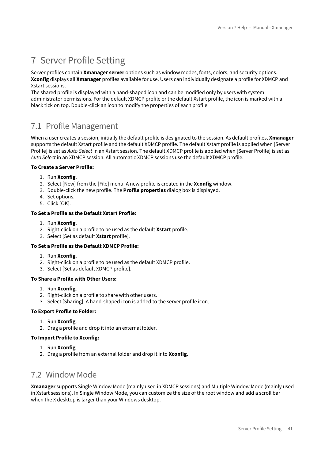# <span id="page-40-0"></span>7 Server Profile Setting

Server profiles contain **Xmanager server** options such as window modes, fonts, colors, and security options. **Xconfig** displays all **Xmanager** profiles available for use. Users can individually designate a profile for XDMCP and Xstart sessions.

The shared profile is displayed with a hand-shaped icon and can be modified only by users with system administrator permissions. For the default XDMCP profile or the default Xstart profile, the icon is marked with a black tick on top. Double-click an icon to modify the properties of each profile.

## <span id="page-40-1"></span>7.1 Profile Management

When a user creates a session, initially the default profile is designated to the session. As default profiles, **Xmanager** supports the default Xstart profile and the default XDMCP profile. The default Xstart profile is applied when [Server Profile] is set as *Auto Select* in an Xstart session. The default XDMCP profile is applied when [Server Profile] is set as *Auto Select* in an XDMCP session. All automatic XDMCP sessions use the default XDMCP profile.

#### **To Create a Server Profile:**

- 1. Run **Xconfig**.
- 2. Select [New] from the [File] menu. A new profile is created in the **Xconfig** window.
- 3. Double-click the new profile. The **Profile properties** dialog box is displayed.
- 4. Set options.
- 5. Click [OK].

#### **To Set a Profile as the Default Xstart Profile:**

- 1. Run **Xconfig**.
- 2. Right-click on a profile to be used as the default **Xstart** profile.
- 3. Select [Set as default **Xstart** profile].

#### **To Set a Profile as the Default XDMCP Profile:**

- 1. Run **Xconfig**.
- 2. Right-click on a profile to be used as the default XDMCP profile.
- 3. Select [Set as default XDMCP profile].

#### **To Share a Profile with Other Users:**

- 1. Run **Xconfig**.
- 2. Right-click on a profile to share with other users.
- 3. Select [Sharing]. A hand-shaped icon is added to the server profile icon.

#### **To Export Profile to Folder:**

- 1. Run **Xconfig**.
- 2. Drag a profile and drop it into an external folder.

#### **To Import Profile to Xconfig:**

- 1. Run **Xconfig**.
- 2. Drag a profile from an external folder and drop it into **Xconfig**.

## <span id="page-40-2"></span>7.2 Window Mode

**Xmanager** supports Single Window Mode (mainly used in XDMCP sessions) and Multiple Window Mode (mainly used in Xstart sessions). In Single Window Mode, you can customize the size of the root window and add a scroll bar when the X desktop is larger than your Windows desktop.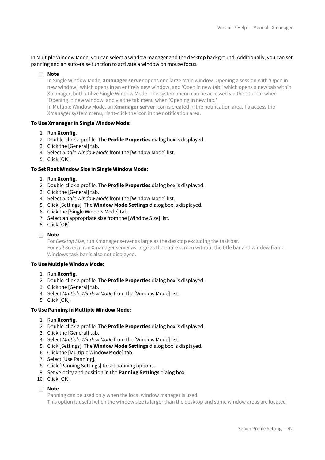In Multiple Window Mode, you can select a window manager and the desktop background. Additionally, you can set panning and an auto-raise function to activate a window on mouse focus.

#### **Note**

In Single Window Mode, **Xmanager server** opens one large main window. Opening a session with 'Open in new window,' which opens in an entirely new window, and 'Open in new tab,' which opens a new tab within Xmanager, both utilize Single Window Mode. The system menu can be accessed via the title bar when 'Opening in new window' and via the tab menu when 'Opening in new tab.'

In Multiple Window Mode, an **Xmanager server** icon is created in the notification area. To aceess the Xmanager system menu, right-click the icon in the notification area.

#### **To Use Xmanager in Single Window Mode:**

- 1. Run **Xconfig**.
- 2. Double-click a profile. The **Profile Properties** dialog box is displayed.
- 3. Click the [General] tab.
- 4. Select *Single Window Mode* from the [Window Mode] list.
- 5. Click [OK].

#### **To Set Root Window Size in Single Window Mode:**

- 1. Run **Xconfig**.
- 2. Double-click a profile. The **Profile Properties** dialog box is displayed.
- 3. Click the [General] tab.
- 4. Select *Single Window Mode* from the [Window Mode] list.
- 5. Click [Settings]. The **Window Mode Settings** dialog box is displayed.
- 6. Click the [Single Window Mode] tab.
- 7. Select an appropriate size from the [Window Size] list.
- 8. Click [OK].

#### **Note**

For *Desktop Size*, run Xmanager server as large as the desktop excluding the task bar. For *Full Screen*, run Xmanager server as large as the entire screen without the title bar and window frame. Windows task bar is also not displayed.

#### **To Use Multiple Window Mode:**

- 1. Run **Xconfig**.
- 2. Double-click a profile. The **Profile Properties** dialog box is displayed.
- 3. Click the [General] tab.
- 4. Select *Multiple Window Mode* from the [Window Mode] list.
- 5. Click [OK].

#### **To Use Panning in Multiple Window Mode:**

- 1. Run **Xconfig**.
- 2. Double-click a profile. The **Profile Properties** dialog box is displayed.
- 3. Click the [General] tab.
- 4. Select *Multiple Window Mode* from the [Window Mode] list.
- 5. Click [Settings]. The **Window Mode Settings** dialog box is displayed.
- 6. Click the [Multiple Window Mode] tab.
- 7. Select [Use Panning].
- 8. Click [Panning Settings] to set panning options.
- 9. Set velocity and position in the **Panning Settings** dialog box.
- 10. Click [OK].

#### **Note**

Panning can be used only when the local window manager is used.

This option is useful when the window size is larger than the desktop and some window areas are located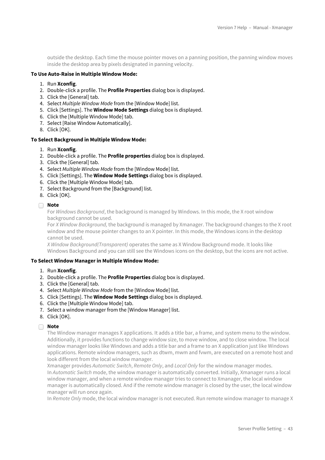outside the desktop. Each time the mouse pointer moves on a panning position, the panning window moves inside the desktop area by pixels designated in panning velocity.

#### **To Use Auto-Raise in Multiple Window Mode:**

- 1. Run **Xconfig**.
- 2. Double-click a profile. The **Profile Properties** dialog box is displayed.
- 3. Click the [General] tab.
- 4. Select *Multiple Window Mode* from the [Window Mode] list.
- 5. Click [Settings]. The **Window Mode Settings** dialog box is displayed.
- 6. Click the [Multiple Window Mode] tab.
- 7. Select [Raise Window Automatically].
- 8. Click [OK].

#### **To Select Background in Multiple Window Mode:**

#### 1. Run **Xconfig**.

- 2. Double-click a profile. The **Profile properties** dialog box is displayed.
- 3. Click the [General] tab.
- 4. Select *Multiple Window Mode* from the [Window Mode] list.
- 5. Click [Settings]. The **Window Mode Settings** dialog box is displayed.
- 6. Click the [Multiple Window Mode] tab.
- 7. Select Background from the [Background] list.
- 8. Click [OK].

#### **Note**

For *Windows Background*, the background is managed by Windows. In this mode, the X root window background cannot be used.

For *X Window Background,* the background is managed by Xmanager. The background changes to the X root window and the mouse pointer changes to an X pointer. In this mode, the Windows icons in the desktop cannot be used.

*X Window Background(Transparent)* operates the same as X Window Background mode. It looks like Windows Background and you can still see the Windows icons on the desktop, but the icons are not active.

#### **To Select Window Manager in Multiple Window Mode:**

- 1. Run **Xconfig**.
- 2. Double-click a profile. The **Profile Properties** dialog box is displayed.
- 3. Click the [General] tab.
- 4. Select *Multiple Window Mode* from the [Window Mode] list.
- 5. Click [Settings]. The **Window Mode Settings** dialog box is displayed.
- 6. Click the [Multiple Window Mode] tab.
- 7. Select a window manager from the [Window Manager] list.
- 8. Click [OK].

#### **Note**

The Window manager manages X applications. It adds a title bar, a frame, and system menu to the window. Additionally, it provides functions to change window size, to move window, and to close window. The local window manager looks like Windows and adds a title bar and a frame to an X application just like Windows applications. Remote window managers, such as dtwm, mwm and fvwm, are executed on a remote host and look different from the local window manager.

Xmanager provides *Automatic Switch*, *Remote Only*, and *Local Only* for the window manager modes. In *Automatic Switch* mode, the window manager is automatically converted. Initially, Xmanager runs a local window manager, and when a remote window manager tries to connect to Xmanager, the local window manager is automatically closed. And if the remote window manager is closed by the user, the local window manager will run once again.

In *Remote Only* mode, the local window manager is not executed. Run remote window manager to manage X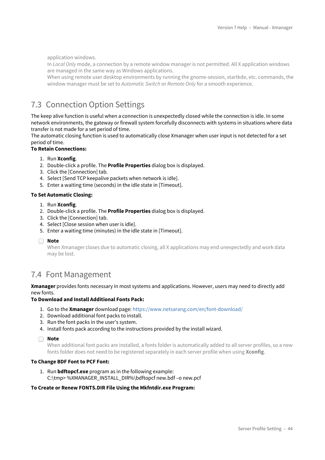application windows.

In *Local Only* mode, a connection by a remote window manager is not permitted. All X application windows are managed in the same way as Windows applications.

When using remote user desktop environments by running the gnome-session, startkde, etc. commands, the window manager must be set to *Automatic Switch* or *Remote Only* for a smooth experience.

# <span id="page-43-0"></span>7.3 Connection Option Settings

The keep alive function is useful when a connection is unexpectedly closed while the connection is idle. In some network environments, the gateway or firewall system forcefully disconnects with systems in situations where data transfer is not made for a set period of time.

The automatic closing function is used to automatically close Xmanager when user input is not detected for a set period of time.

#### **To Retain Connections:**

- 1. Run **Xconfig**.
- 2. Double-click a profile. The **Profile Properties** dialog box is displayed.
- 3. Click the [Connection] tab.
- 4. Select [Send TCP keepalive packets when network is idle].
- 5. Enter a waiting time (seconds) in the idle state in [Timeout].

#### **To Set Automatic Closing:**

- 1. Run **Xconfig**.
- 2. Double-click a profile. The **Profile Properties** dialog box is displayed.
- 3. Click the [Connection] tab.
- 4. Select [Close session when user is idle].
- 5. Enter a waiting time (minutes) in the idle state in [Timeout].
- **Note**

When Xmanager closes due to automatic closing, all X applications may end unexpectedly and work data may be lost.

## <span id="page-43-1"></span>7.4 Font Management

**Xmanager** provides fonts necessary in most systems and applications. However, users may need to directly add new fonts.

#### **To Download and Install Additional Fonts Pack:**

- 1. Go to the **Xmanager** download page:<https://www.netsarang.com/en/font-download/>
- 2. Download additional font packs to install.
- 3. Run the font packs in the user's system.
- 4. Install fonts pack according to the instructions provided by the install wizard.

#### **Note**

When additional font packs are installed, a fonts folder is automatically added to all server profiles, so a new fonts folder does not need to be registered separately in each server profile when using **Xconfig**.

#### **To Change BDF Font to PCF Font:**

1. Run **bdftopcf.exe** program as in the following example: C:\tmp> %XMANAGER\_INSTALL\_DIR%\bdftopcf new.bdf –o new.pcf

#### **To Create or Renew FONTS.DIR File Using the Mkfntdir.exe Program:**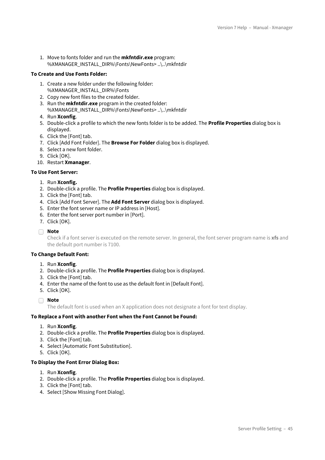1. Move to fonts folder and run the **mkfntdir.exe** program: %XMANAGER\_INSTALL\_DIR%\Fonts\NewFonts> ..\..\mkfntdir

#### **To Create and Use Fonts Folder:**

- 1. Create a new folder under the following folder: %XMANAGER\_INSTALL\_DIR%\Fonts
- 2. Copy new font files to the created folder.
- 3. Run the **mkfntdir.exe** program in the created folder: %XMANAGER\_INSTALL\_DIR%\Fonts\NewFonts> ..\..\mkfntdir
- 4. Run **Xconfig**.
- 5. Double-click a profile to which the new fonts folder is to be added. The **Profile Properties** dialog box is displayed.
- 6. Click the [Font] tab.
- 7. Click [Add Font Folder]. The **Browse For Folder** dialog box is displayed.
- 8. Select a new font folder.
- 9. Click [OK].

10. Restart **Xmanager**.

#### **To Use Font Server:**

- 1. Run **Xconfig.**
- 2. Double-click a profile. The **Profile Properties** dialog box is displayed.
- 3. Click the [Font] tab.
- 4. Click [Add Font Server]. The **Add Font Server** dialog box is displayed.
- 5. Enter the font server name or IP address in [Host].
- 6. Enter the font server port number in [Port].
- 7. Click [OK].

#### **Note**

Check if a font server is executed on the remote server. In general, the font server program name is **xfs** and the default port number is 7100.

#### **To Change Default Font:**

- 1. Run **Xconfig**.
- 2. Double-click a profile. The **Profile Properties** dialog box is displayed.
- 3. Click the [Font] tab.
- 4. Enter the name of the font to use as the default font in [Default Font].
- 5. Click [OK].
- **Note**

The default font is used when an X application does not designate a font for text display.

#### **To Replace a Font with another Font when the Font Cannot be Found:**

- 1. Run **Xconfig**.
- 2. Double-click a profile. The **Profile Properties** dialog box is displayed.
- 3. Click the [Font] tab.
- 4. Select [Automatic Font Substitution].
- 5. Click [OK].

#### **To Display the Font Error Dialog Box:**

- 1. Run **Xconfig**.
- 2. Double-click a profile. The **Profile Properties** dialog box is displayed.
- 3. Click the [Font] tab.
- 4. Select [Show Missing Font Dialog].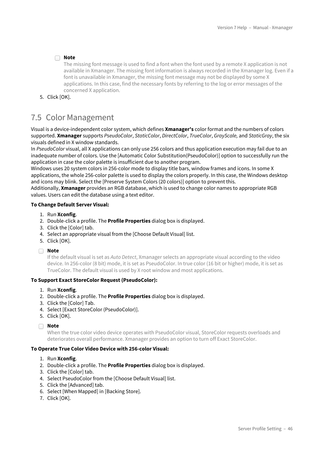The missing font message is used to find a font when the font used by a remote X application is not available in Xmanager. The missing font information is always recorded in the Xmanager log. Even if a font is unavailable in Xmanager, the missing font message may not be displayed by some X applications. In this case, find the necessary fonts by referring to the log or error messages of the concerned X application.

5. Click [OK].

# <span id="page-45-0"></span>7.5 Color Management

Visual is a device-independent color system, which defines **Xmanager's** color format and the numbers of colors supported. **Xmanager** supports *PseudoColor*, *StaticColor*, *DirectColor*, *TrueColor*, *GrayScale,* and *StaticGray*, the six visuals defined in X window standards.

In *PseudoColor* visual, all X applications can only use 256 colors and thus application execution may fail due to an inadequate number of colors. Use the [Automatic Color Substitution(PseudoColor)] option to successfully run the application in case the color palette is insufficient due to another program.

Windows uses 20 system colors in 256-color mode to display title bars, window frames and icons. In some X applications, the whole 256-color palette is used to display the colors properly. In this case, the Windows desktop and icons may blink. Select the [Preserve System Colors (20 colors)] option to prevent this.

Additionally, **Xmanager** provides an RGB database, which is used to change color names to appropriate RGB values. Users can edit the database using a text editor.

#### **To Change Default Server Visual:**

- 1. Run **Xconfig**.
- 2. Double-click a profile. The **Profile Properties** dialog box is displayed.
- 3. Click the [Color] tab.
- 4. Select an appropriate visual from the [Choose Default Visual] list.
- 5. Click [OK].
- **Note**

If the default visual is set as *Auto Detect*, Xmanager selects an appropriate visual according to the video device. In 256-color (8 bit) mode, it is set as PseudoColor. In true color (16 bit or higher) mode, it is set as TrueColor. The default visual is used by X root window and most applications.

#### **To Support Exact StoreColor Request (PseudoColor):**

- 1. Run **Xconfig**.
- 2. Double-click a profile. The **Profile Properties** dialog box is displayed.
- 3. Click the [Color] Tab.
- 4. Select [Exact StoreColor (PseudoColor)].
- 5. Click [OK].

#### **Note**

When the true color video device operates with PseudoColor visual, StoreColor requests overloads and deteriorates overall performance. Xmanager provides an option to turn off Exact StoreColor.

#### **To Operate True Color Video Device with 256-color Visual:**

- 1. Run **Xconfig**.
- 2. Double-click a profile. The **Profile Properties** dialog box is displayed.
- 3. Click the [Color] tab.
- 4. Select PseudoColor from the [Choose Default Visual] list.
- 5. Click the [Advanced] tab.
- 6. Select [When Mapped] in [Backing Store].
- 7. Click [OK].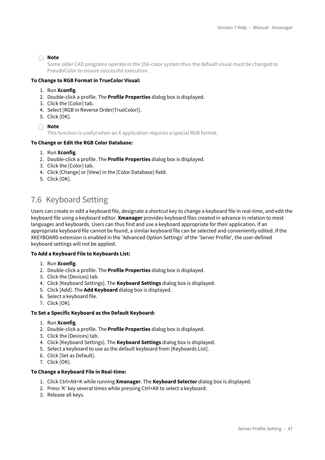Some older CAD programs operate in the 256-color system thus the default visual must be changed to PseudoColor to ensure successful execution.

#### **To Change to RGB Format in TrueColor Visual:**

- 1. Run **Xconfig**.
- 2. Double-click a profile. The **Profile Properties** dialog box is displayed.
- 3. Click the [Color] tab.
- 4. Select [RGB in Reverse Order(TrueColor)].
- 5. Click [OK].
- **Note**

This function is useful when an X application requires a special RGB format.

#### **To Change or Edit the RGB Color Database:**

- 1. Run **Xconfig**.
- 2. Double-click a profile. The **Profile Properties** dialog box is displayed.
- 3. Click the [Color] tab.
- 4. Click [Change] or [View] in the [Color Database] field.
- 5. Click [OK].

# <span id="page-46-0"></span>7.6 Keyboard Setting

Users can create or edit a keyboard file, designate a shortcut key to change a keyboard file in real-time, and edit the keyboard file using a keyboard editor. **Xmanager** provides keyboard files created in advance in relation to most languages and keyboards. Users can thus find and use a keyboard appropriate for their application. If an appropriate keyboard file cannot be found, a similar keyboard file can be selected and conveniently edited. If the XKEYBOARD extension is enabled in the 'Advanced Option Settings' of the 'Server Profile', the user-defined keyboard settings will not be applied.

#### **To Add a Keyboard File to Keyboards List:**

- 1. Run **Xconfig**.
- 2. Double-click a profile. The **Profile Properties** dialog box is displayed.
- 3. Click the [Devices] tab.
- 4. Click [Keyboard Settings]. The **Keyboard Settings** dialog box is displayed.
- 5. Click [Add]. The **Add Keyboard** dialog box is displayed.
- 6. Select a keyboard file.
- 7. Click [OK].

#### **To Set a Specific Keyboard as the Default Keyboard:**

- 1. Run **Xconfig**.
- 2. Double-click a profile. The **Profile Properties** dialog box is displayed.
- 3. Click the [Devices] tab.
- 4. Click [Keyboard Settings]. The **Keyboard Settings** dialog box is displayed.
- 5. Select a keyboard to use as the default keyboard from [Keyboards List].
- 6. Click [Set as Default].
- 7. Click [OK].

#### **To Change a Keyboard File in Real-time:**

- 1. Click Ctrl+Alt+K while running **Xmanager**. The **Keyboard Selector** dialog box is displayed.
- 2. Press 'K' key several times while pressing Ctrl+Alt to select a keyboard.
- 3. Release all keys.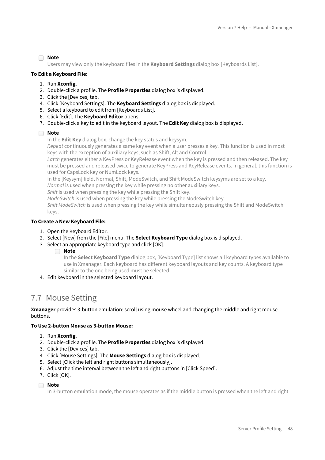Users may view only the keyboard files in the **Keyboard Settings** dialog box [Keyboards List].

#### **To Edit a Keyboard File:**

- 1. Run **Xconfig**.
- 2. Double-click a profile. The **Profile Properties** dialog box is displayed.
- 3. Click the [Devices] tab.
- 4. Click [Keyboard Settings]. The **Keyboard Settings** dialog box is displayed.
- 5. Select a keyboard to edit from [Keyboards List].
- 6. Click [Edit]. The **Keyboard Editor** opens.
- 7. Double-click a key to edit in the keyboard layout. The **Edit Key** dialog box is displayed.

#### **Note**

In the **Edit Key** dialog box, change the key status and keysym.

*Repeat* continuously generates a same key event when a user presses a key. This function is used in most keys with the exception of auxiliary keys, such as Shift, Alt and Control.

*Latch* generates either a KeyPress or KeyRelease event when the key is pressed and then released. The key must be pressed and released twice to generate KeyPress and KeyRelease events. In general, this function is used for CapsLock key or NumLock keys.

In the [Keysym] field, Normal, Shift, ModeSwitch, and Shift ModeSwitch keysyms are set to a key.

*Normal* is used when pressing the key while pressing no other auxiliary keys.

*Shift* is used when pressing the key while pressing the Shift key.

*ModeSwitch* is used when pressing the key while pressing the ModeSwitch key.

*Shift ModeSwitch* is used when pressing the key while simultaneously pressing the Shift and ModeSwitch keys.

#### **To Create a New Keyboard File:**

- 1. Open the Keyboard Editor.
- 2. Select [New] from the [File] menu. The **Select Keyboard Type** dialog box is displayed.
- 3. Select an appropriate keyboard type and click [OK].
	- **Note**

In the **Select Keyboard Type** dialog box, [Keyboard Type] list shows all keyboard types available to use in Xmanager. Each keyboard has different keyboard layouts and key counts. A keyboard type similar to the one being used must be selected.

4. Edit keyboard in the selected keyboard layout.

## <span id="page-47-0"></span>7.7 Mouse Setting

**Xmanager** provides 3-button emulation: scroll using mouse wheel and changing the middle and right mouse buttons.

#### **To Use 2-button Mouse as 3-button Mouse:**

- 1. Run **Xconfig**.
- 2. Double-click a profile. The **Profile Properties** dialog box is displayed.
- 3. Click the [Devices] tab.
- 4. Click [Mouse Settings]. The **Mouse Settings** dialog box is displayed.
- 5. Select [Click the left and right buttons simultaneously].
- 6. Adjust the time interval between the left and right buttons in [Click Speed].
- 7. Click [OK].
- **Note**

In 3-button emulation mode, the mouse operates as if the middle button is pressed when the left and right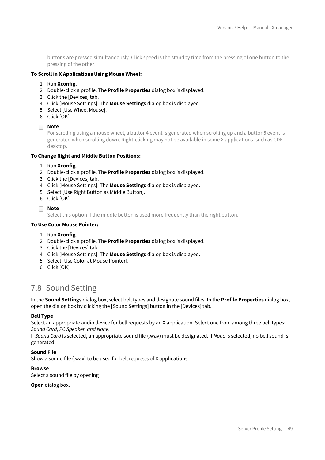buttons are pressed simultaneously. Click speed is the standby time from the pressing of one button to the pressing of the other.

#### **To Scroll in X Applications Using Mouse Wheel:**

- 1. Run **Xconfig**.
- 2. Double-click a profile. The **Profile Properties** dialog box is displayed.
- 3. Click the [Devices] tab.
- 4. Click [Mouse Settings]. The **Mouse Settings** dialog box is displayed.
- 5. Select [Use Wheel Mouse].
- 6. Click [OK].

#### **Note**

For scrolling using a mouse wheel, a button4 event is generated when scrolling up and a button5 event is generated when scrolling down. Right-clicking may not be available in some X applications, such as CDE desktop.

#### **To Change Right and Middle Button Positions:**

#### 1. Run **Xconfig**.

- 2. Double-click a profile. The **Profile Properties** dialog box is displayed.
- 3. Click the [Devices] tab.
- 4. Click [Mouse Settings]. The **Mouse Settings** dialog box is displayed.
- 5. Select [Use Right Button as Middle Button].
- 6. Click [OK].

#### **Note**

Select this option if the middle button is used more frequently than the right button.

#### **To Use Color Mouse Pointer:**

- 1. Run **Xconfig**.
- 2. Double-click a profile. The **Profile Properties** dialog box is displayed.
- 3. Click the [Devices] tab.
- 4. Click [Mouse Settings]. The **Mouse Settings** dialog box is displayed.
- 5. Select [Use Color at Mouse Pointer].
- 6. Click [OK].

## <span id="page-48-0"></span>7.8 Sound Setting

In the **Sound Settings** dialog box, select bell types and designate sound files. In the **Profile Properties** dialog box, open the dialog box by clicking the [Sound Settings] button in the [Devices] tab.

#### **Bell Type**

Select an appropriate audio device for bell requests by an X application. Select one from among three bell types: *Sound Card, PC Speaker, and None.*

If *Sound Card* is selected, an appropriate sound file (.wav) must be designated. If *None* is selected, no bell sound is generated.

#### **Sound File**

Show a sound file (.wav) to be used for bell requests of X applications.

#### **Browse**

Select a sound file by opening

**Open** dialog box.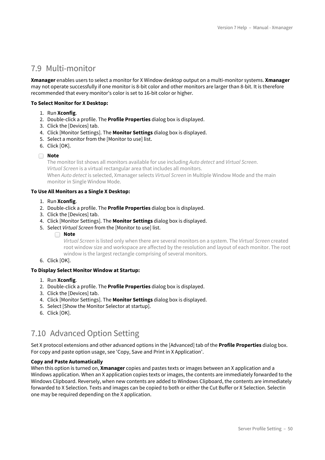# <span id="page-49-0"></span>7.9 Multi-monitor

**Xmanager** enables users to select a monitor for X Window desktop output on a multi-monitor systems. **Xmanager** may not operate successfully if one monitor is 8-bit color and other monitors are larger than 8-bit. It is therefore recommended that every monitor's color is set to 16-bit color or higher.

#### **To Select Monitor for X Desktop:**

- 1. Run **Xconfig**.
- 2. Double-click a profile. The **Profile Properties** dialog box is displayed.
- 3. Click the [Devices] tab.
- 4. Click [Monitor Settings]. The **Monitor Settings** dialog box is displayed.
- 5. Select a monitor from the [Monitor to use] list.
- 6. Click [OK].

#### **Note**

The monitor list shows all monitors available for use including *Auto detect* and *Virtual Screen*. *Virtual Screen* is a virtual rectangular area that includes all monitors. When *Auto detect* is selected, Xmanager selects *Virtual Screen* in Multiple Window Mode and the main monitor in Single Window Mode.

#### **To Use All Monitors as a Single X Desktop:**

- 1. Run **Xconfig**.
- 2. Double-click a profile. The **Profile Properties** dialog box is displayed.
- 3. Click the [Devices] tab.
- 4. Click [Monitor Settings]. The **Monitor Settings** dialog box is displayed.
- 5. Select *Virtual Screen* from the [Monitor to use] list.
	- **Note**

*Virtual Screen* is listed only when there are several monitors on a system. The *Virtual Screen* created root window size and workspace are affected by the resolution and layout of each monitor. The root window is the largest rectangle comprising of several monitors.

6. Click [OK].

#### **To Display Select Monitor Window at Startup:**

- 1. Run **Xconfig**.
- 2. Double-click a profile. The **Profile Properties** dialog box is displayed.
- 3. Click the [Devices] tab.
- 4. Click [Monitor Settings]. The **Monitor Settings** dialog box is displayed.
- 5. Select [Show the Monitor Selector at startup].
- 6. Click [OK].

## <span id="page-49-1"></span>7.10 Advanced Option Setting

Set X protocol extensions and other advanced options in the [Advanced] tab of the **Profile Properties** dialog box. For copy and paste option usage, see 'Copy, Save and Print in X Application'.

#### **Copy and Paste Automatically**

When this option is turned on, **Xmanager** copies and pastes texts or images between an X application and a Windows application. When an X application copies texts or images, the contents are immediately forwarded to the Windows Clipboard. Reversely, when new contents are added to Windows Clipboard, the contents are immediately forwarded to X Selection. Texts and images can be copied to both or either the Cut Buffer or X Selection. Selectin one may be required depending on the X application.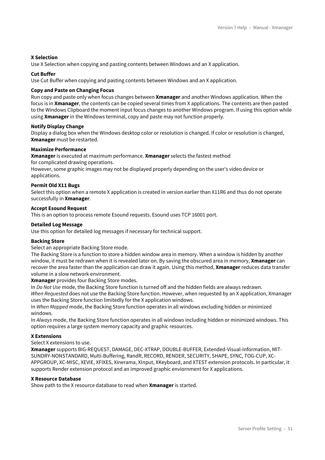#### **X Selection**

Use X Selection when copying and pasting contents between Windows and an X application.

#### **Cut Buffer**

Use Cut Buffer when copying and pasting contents between Windows and an X application.

#### **Copy and Paste on Changing Focus**

Run copy and paste only when focus changes between **Xmanager** and another Windows application. When the focus is in **Xmanager**, the contents can be copied several times from X applications. The contents are then pasted to the Windows Clipboard the moment input focus changes to another Windows program. If using this option while using **Xmanager** in the Windows terminal, copy and paste may not function properly.

#### **Notify Display Change**

Display a dialog box when the Windows desktop color or resolution is changed. If color or resolution is changed, **Xmanager** must be restarted.

#### **Maximize Performance**

**Xmanager** is executed at maximum performance. **Xmanager** selects the fastest method for complicated drawing operations.

However, some graphic images may not be displayed properly depending on the user's video device or applications.

#### **Permit Old X11 Bugs**

Select this option when a remote X application is created in version earlier than X11R6 and thus do not operate successfully in **Xmanager**.

#### **Accept Esound Request**

This is an option to process remote Esound requests. Esound uses TCP 16001 port.

#### **Detailed Log Message**

Use this option for detailed log messages if necessary for technical support.

#### **Backing Store**

#### Select an appropriate Backing Store mode.

The Backing Store is a function to store a hidden window area in memory. When a window is hidden by another window, it must be redrawn when it is revealed later on. By saving the obscured area in memory, **Xmanager** can recover the area faster than the application can draw it again. Using this method, **Xmanager** reduces data transfer volume in a slow network environment.

**Xmanager** provides four Backing Store modes.

In *Do Not Use* mode, the Backing Store function is turned off and the hidden fields are always redrawn. *When Requested* does not use the Backing Store function. However, when requested by an X application, Xmanager uses the Backing Store function limitedly for the X application windows.

In *When Mapped* mode, the Backing Store function operates in all windows excluding hidden or minimized windows.

In *Always* mode, the Backing Store function operates in all windows including hidden or minimized windows. This option requires a large system memory capacity and graphic resources.

#### **X Extensions**

Select X extensions to use.

**Xmanager** supports BIG-REQUEST, DAMAGE, DEC-XTRAP, DOUBLE-BUFFER, Extended-Visual-Information, MIT-SUNDRY-NONSTANDARD, Multi-Buffering, RandR, RECORD, RENDER, SECURITY, SHAPE, SYNC, TOG-CUP, XC-APPGROUP, XC-MISC, XEVIE, XFIXES, Xinerama, XInput, XKeyboard, and XTEST extension protocols. In particular, it supports Render extension protocol and an improved graphic enviornment for X applications.

#### **X Resource Database**

Show path to the X resource database to read when **Xmanager** is started.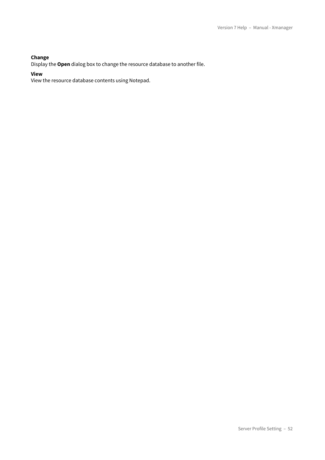#### **Change**

Display the **Open** dialog box to change the resource database to another file.

**View**

View the resource database contents using Notepad.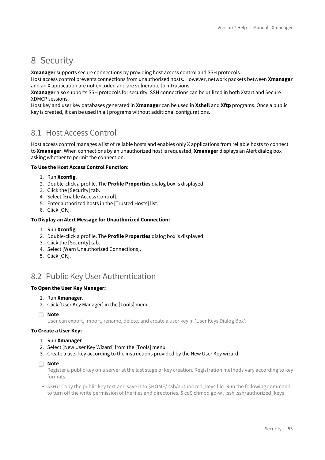# <span id="page-52-0"></span>8 Security

**Xmanager** supports secure connections by providing host access control and SSH protocols.

Host access control prevents connections from unauthorized hosts. However, network packets between **Xmanager** and an X application are not encoded and are vulnerable to intrusions.

**Xmanager** also supports SSH protocols for security. SSH connections can be utilized in both Xstart and Secure XDMCP sessions.

Host key and user key databases generated in **Xmanager** can be used in **Xshell** and **Xftp** programs. Once a public key is created, it can be used in all programs without additional configurations.

### <span id="page-52-1"></span>8.1 Host Access Control

Host access control manages a list of reliable hosts and enables only X applications from reliable hosts to connect to **Xmanager**. When connections by an unauthorized host is requested, **Xmanager** displays an Alert dialog box asking whether to permit the connection.

#### **To Use the Host Access Control Function:**

- 1. Run **Xconfig**.
- 2. Double-click a profile. The **Profile Properties** dialog box is displayed.
- 3. Click the [Security] tab.
- 4. Select [Enable Access Control].
- 5. Enter authorized hosts in the [Trusted Hosts] list.
- 6. Click [OK].

#### **To Display an Alert Message for Unauthorized Connection:**

- 1. Run **Xconfig**.
- 2. Double-click a profile. The **Profile Properties** dialog box is displayed.
- 3. Click the [Security] tab.
- 4. Select [Warn Unauthorized Connections].
- 5. Click [OK].

## <span id="page-52-2"></span>8.2 Public Key User Authentication

#### **To Open the User Key Manager:**

- 1. Run **Xmanager**.
- 2. Click [User Key Manager] in the [Tools] menu.
- **Note**

User can export, import, rename, delete, and create a user key in 'User Keys Dialog Box'.

#### **To Create a User Key:**

- 1. Run **Xmanager**.
- 2. Select [New User Key Wizard] from the [Tools] menu.
- 3. Create a user key according to the instructions provided by the New User Key wizard.

#### **Note**

Register a public key on a server at the last stage of key creation. Registration methods vary according to key formats.

• *SSH1*: Copy the public key text and save it to \$HOME/.ssh/authorized\_keys file. Run the following command to turn off the write permission of the files and directories. \$ cd\$ chmod go-w . .ssh .ssh/authorized keys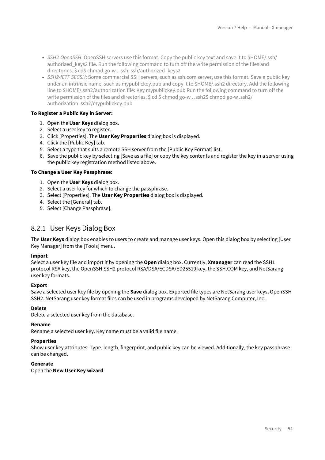- *SSH2-OpenSSH*: OpenSSH servers use this format. Copy the public key text and save it to \$HOME/.ssh/ authorized keys2 file. Run the following command to turn off the write permission of the files and directories. \$ cd\$ chmod go-w . .ssh .ssh/authorized\_keys2
- *SSH2-IETF SECSH*: Some commercial SSH servers, such as ssh.com server, use this format. Save a public key under an intrinsic name, such as mypublickey.pub and copy it to \$HOME/.ssh2 directory. Add the following line to \$HOME/.ssh2/authorization file: Key mypublickey.pub Run the following command to turn off the write permission of the files and directories. \$ cd \$ chmod go-w . .ssh2\$ chmod go-w .ssh2/ authorization .ssh2/mypublickey.pub

#### **To Register a Public Key in Server:**

- 1. Open the **User Keys** dialog box.
- 2. Select a user key to register.
- 3. Click [Properties]. The **User Key Properties** dialog box is displayed.
- 4. Click the [Public Key] tab.
- 5. Select a type that suits a remote SSH server from the [Public Key Format] list.
- 6. Save the public key by selecting [Save as a file] or copy the key contents and register the key in a server using the public key registration method listed above.

#### **To Change a User Key Passphrase:**

- 1. Open the **User Keys** dialog box.
- 2. Select a user key for which to change the passphrase.
- 3. Select [Properties]. The **User Key Properties** dialog box is displayed.
- 4. Select the [General] tab.
- 5. Select [Change Passphrase].

### <span id="page-53-0"></span>8.2.1 User Keys Dialog Box

The **User Keys** dialog box enables to users to create and manage user keys. Open this dialog box by selecting [User Key Manager] from the [Tools] menu.

#### **Import**

Select a user key file and import it by opening the **Open** dialog box. Currently, **Xmanager** can read the SSH1 protocol RSA key, the OpenSSH SSH2 protocol RSA/DSA/ECDSA/ED25519 key, the SSH.COM key, and NetSarang user key formats.

#### **Export**

Save a selected user key file by opening the **Save** dialog box. Exported file types are NetSarang user keys, OpenSSH SSH2. NetSarang user key format files can be used in programs developed by NetSarang Computer, Inc.

#### **Delete**

Delete a selected user key from the database.

#### **Rename**

Rename a selected user key. Key name must be a valid file name.

#### **Properties**

Show user key attributes. Type, length, fingerprint, and public key can be viewed. Additionally, the key passphrase can be changed.

#### **Generate**

Open the **New User Key wizard**.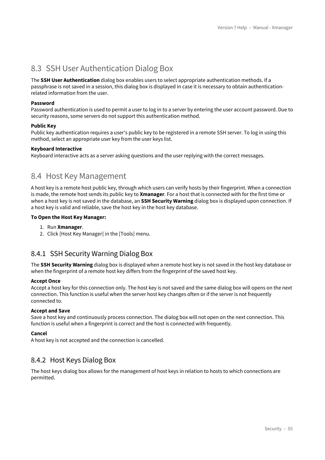# <span id="page-54-0"></span>8.3 SSH User Authentication Dialog Box

The **SSH User Authentication** dialog box enables users to select appropriate authentication methods. If a passphrase is not saved in a session, this dialog box is displayed in case it is necessary to obtain authenticationrelated information from the user.

#### **Password**

Password authentication is used to permit a user to log in to a server by entering the user account password. Due to security reasons, some servers do not support this authentication method.

#### **Public Key**

Public key authentication requires a user's public key to be registered in a remote SSH server. To log in using this method, select an appropriate user key from the user keys list.

#### **Keyboard Interactive**

Keyboard interactive acts as a server asking questions and the user replying with the correct messages.

### <span id="page-54-1"></span>8.4 Host Key Management

A host key is a remote host public key, through which users can verify hosts by their fingerprint. When a connection is made, the remote host sends its public key to **Xmanager**. For a host that is connected with for the first time or when a host key is not saved in the database, an **SSH Security Warning** dialog box is displayed upon connection. If a host key is valid and reliable, save the host key in the host key database.

#### **To Open the Host Key Manager:**

- 1. Run **Xmanager**.
- 2. Click [Host Key Manager] in the [Tools] menu.

### <span id="page-54-2"></span>8.4.1 SSH Security Warning Dialog Box

The **SSH Security Warning** dialog box is displayed when a remote host key is not saved in the host key database or when the fingerprint of a remote host key differs from the fingerprint of the saved host key.

#### **Accept Once**

Accept a host key for this connection only. The host key is not saved and the same dialog box will opens on the next connection. This function is useful when the server host key changes often or if the server is not frequently connected to.

#### **Accept and Save**

Save a host key and continuously process connection. The dialog box will not open on the next connection. This function is useful when a fingerprint is correct and the host is connected with frequently.

#### **Cancel**

A host key is not accepted and the connection is cancelled.

### <span id="page-54-3"></span>8.4.2 Host Keys Dialog Box

The host keys dialog box allows for the management of host keys in relation to hosts to which connections are permitted.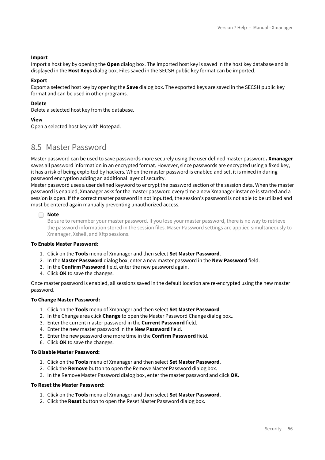#### **Import**

Import a host key by opening the **Open** dialog box. The imported host key is saved in the host key database and is displayed in the **Host Keys** dialog box. Files saved in the SECSH public key format can be imported.

#### **Export**

Export a selected host key by opening the **Save** dialog box. The exported keys are saved in the SECSH public key format and can be used in other programs.

#### **Delete**

Delete a selected host key from the database.

#### **View**

Open a selected host key with Notepad.

### <span id="page-55-0"></span>8.5 Master Password

Master password can be used to save passwords more securely using the user defined master password**. Xmanager** saves all password information in an encrypted format. However, since passwords are encrypted using a fixed key, it has a risk of being exploited by hackers. When the master password is enabled and set, it is mixed in during password encryption adding an additional layer of security.

Master password uses a user defined keyword to encrypt the password section of the session data. When the master password is enabled, Xmanager asks for the master password every time a new Xmanager instance is started and a session is open. If the correct master password in not inputted, the session's password is not able to be utilized and must be entered again manually preventing unauthorized access.

#### **Note** n

Be sure to remember your master password. If you lose your master password, there is no way to retrieve the password information stored in the session files. Maser Password settings are applied simultaneously to Xmanager, Xshell, and Xftp sessions.

#### **To Enable Master Password:**

- 1. Click on the **Tools** menu of Xmanager and then select **Set Master Password**.
- 2. In the **Master Password** dialog box, enter a new master password in the **New Password** field.
- 3. In the **Confirm Password** field, enter the new password again.
- 4. Click **OK** to save the changes.

Once master password is enabled, all sessions saved in the default location are re-encrypted using the new master password.

#### **To Change Master Password:**

- 1. Click on the **Tools** menu of Xmanager and then select **Set Master Password**.
- 2. In the Change area click **Change** to open the Master Password Change dialog box..
- 3. Enter the current master password in the **Current Password** field.
- 4. Enter the new master password in the **New Password** field.
- 5. Enter the new password one more time in the **Confirm Password** field.
- 6. Click **OK** to save the changes.

#### **To Disable Master Password:**

- 1. Click on the **Tools** menu of Xmanager and then select **Set Master Password**.
- 2. Click the **Remove** button to open the Remove Master Password dialog box.
- 3. In the Remove Master Password dialog box, enter the master password and click **OK.**

#### **To Reset the Master Password:**

- 1. Click on the **Tools** menu of Xmanager and then select **Set Master Password**.
- 2. Click the **Reset** button to open the Reset Master Password dialog box.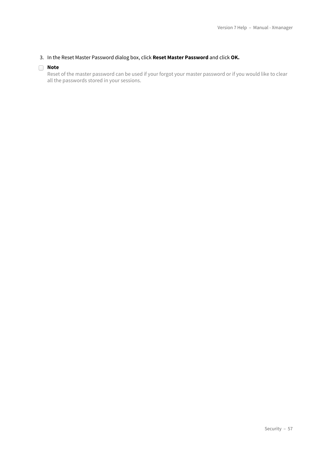#### 3. In the Reset Master Password dialog box, click **Reset Master Password** and click **OK.**

#### **Note**

Reset of the master password can be used if your forgot your master password or if you would like to clear all the passwords stored in your sessions.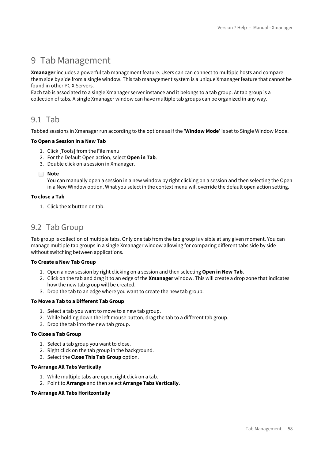# <span id="page-57-0"></span>9 Tab Management

**Xmanager** includes a powerful tab management feature. Users can can connect to multiple hosts and compare them side by side from a single window. This tab management system is a unique Xmanager feature that cannot be found in other PC X Servers.

Each tab is associated to a single Xmanager server instance and it belongs to a tab group. At tab group is a collection of tabs. A single Xmanager window can have multiple tab groups can be organized in any way.

### <span id="page-57-1"></span>9.1 Tab

Tabbed sessions in Xmanager run according to the options as if the '**Window Mode**' is set to Single Window Mode.

#### **To Open a Session in a New Tab**

- 1. Click [Tools] from the File menu
- 2. For the Default Open action, select **Open in Tab**.
- 3. Double click on a session in Xmanager.

**Note**

You can manually open a session in a new window by right clicking on a session and then selecting the Open in a New Window option. What you select in the context menu will override the default open action setting.

#### **To close a Tab**

1. Click the **x** button on tab.

### <span id="page-57-2"></span>9.2 Tab Group

Tab group is collection of multiple tabs. Only one tab from the tab group is visible at any given moment. You can manage multiple tab groups in a single Xmanager window allowing for comparing different tabs side by side without switching between applications.

#### **To Create a New Tab Group**

- 1. Open a new session by right clicking on a session and then selecting **Open in New Tab**.
- 2. Click on the tab and drag it to an edge of the **Xmanager** window. This will create a drop zone that indicates how the new tab group will be created.
- 3. Drop the tab to an edge where you want to create the new tab group.

#### **To Move a Tab to a Different Tab Group**

- 1. Select a tab you want to move to a new tab group.
- 2. While holding down the left mouse button, drag the tab to a different tab group.
- 3. Drop the tab into the new tab group.

#### **To Close a Tab Group**

- 1. Select a tab group you want to close.
- 2. Right click on the tab group in the background.
- 3. Select the **Close This Tab Group** option.

#### **To Arrange All Tabs Vertically**

- 1. While multiple tabs are open, right click on a tab.
- 2. Point to **Arrange** and then select **Arrange Tabs Vertically**.

#### **To Arrange All Tabs Horitzontally**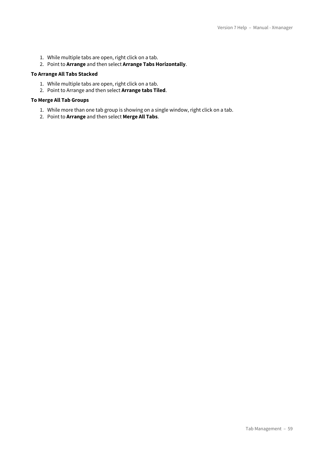- 1. While multiple tabs are open, right click on a tab.
- 2. Point to **Arrange** and then select **Arrange Tabs Horizontally**.

#### **To Arrange All Tabs Stacked**

- 1. While multiple tabs are open, right click on a tab.
- 2. Point to Arrange and then select **Arrange tabs Tiled**.

#### **To Merge All Tab Groups**

- 1. While more than one tab group is showing on a single window, right click on a tab.
- 2. Point to **Arrange** and then select **Merge All Tabs**.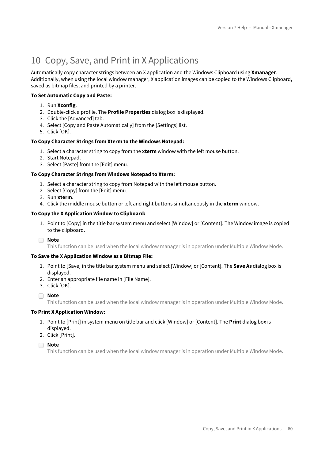# <span id="page-59-0"></span>10 Copy, Save, and Print in X Applications

Automatically copy character strings between an X application and the Windows Clipboard using **Xmanager**. Additionally, when using the local window manager, X application images can be copied to the Windows Clipboard, saved as bitmap files, and printed by a printer.

#### **To Set Automatic Copy and Paste:**

- 1. Run **Xconfig**.
- 2. Double-click a profile. The **Profile Properties** dialog box is displayed.
- 3. Click the [Advanced] tab.
- 4. Select [Copy and Paste Automatically] from the [Settings] list.
- 5. Click [OK].

#### **To Copy Character Strings from Xterm to the Windows Notepad:**

- 1. Select a character string to copy from the **xterm** window with the left mouse button.
- 2. Start Notepad.
- 3. Select [Paste] from the [Edit] menu.

#### **To Copy Character Strings from Windows Notepad to Xterm:**

- 1. Select a character string to copy from Notepad with the left mouse button.
- 2. Select [Copy] from the [Edit] menu.
- 3. Run **xterm**.
- 4. Click the middle mouse button or left and right buttons simultaneously in the **xterm** window.

#### **To Copy the X Application Window to Clipboard:**

1. Point to [Copy] in the title bar system menu and select [Window] or [Content]. The Window image is copied to the clipboard.

**Note**

This function can be used when the local window manager is in operation under Multiple Window Mode.

#### **To Save the X Application Window as a Bitmap File:**

- 1. Point to [Save] in the title bar system menu and select [Window] or [Content]. The **Save As** dialog box is displayed.
- 2. Enter an appropriate file name in [File Name].
- 3. Click [OK].
- **Note**

This function can be used when the local window manager is in operation under Multiple Window Mode.

#### **To Print X Application Window:**

- 1. Point to [Print] in system menu on title bar and click [Window] or [Content]. The **Print** dialog box is displayed.
- 2. Click [Print].

**Note**

This function can be used when the local window manager is in operation under Multiple Window Mode.